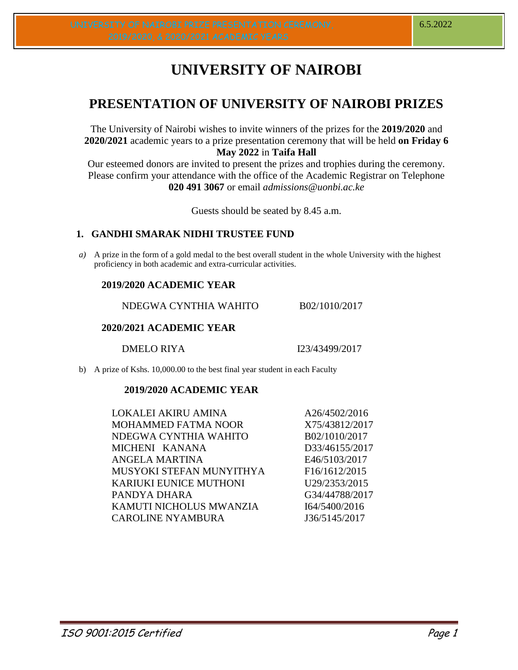# **UNIVERSITY OF NAIROBI**

# **PRESENTATION OF UNIVERSITY OF NAIROBI PRIZES**

The University of Nairobi wishes to invite winners of the prizes for the **2019/2020** and **2020/2021** academic years to a prize presentation ceremony that will be held **on Friday 6 May 2022** in **Taifa Hall** 

Our esteemed donors are invited to present the prizes and trophies during the ceremony. Please confirm your attendance with the office of the Academic Registrar on Telephone **020 491 3067** or email *admissions@uonbi.ac.ke*

Guests should be seated by 8.45 a.m.

# **1. GANDHI SMARAK NIDHI TRUSTEE FUND**

*a)* A prize in the form of a gold medal to the best overall student in the whole University with the highest proficiency in both academic and extra-curricular activities.

# **2019/2020 ACADEMIC YEAR**

NDEGWA CYNTHIA WAHITO B02/1010/2017

# **2020/2021 ACADEMIC YEAR**

DMELO RIYA 123/43499/2017

b) A prize of Kshs. 10,000.00 to the best final year student in each Faculty

# **2019/2020 ACADEMIC YEAR**

| LOKALEI AKIRU AMINA           | A26/4502/2016  |
|-------------------------------|----------------|
| <b>MOHAMMED FATMA NOOR</b>    | X75/43812/2017 |
| NDEGWA CYNTHIA WAHITO         | B02/1010/2017  |
| MICHENI KANANA                | D33/46155/2017 |
| ANGELA MARTINA                | E46/5103/2017  |
| MUSYOKI STEFAN MUNYITHYA      | F16/1612/2015  |
| <b>KARIUKI EUNICE MUTHONI</b> | U29/2353/2015  |
| PANDYA DHARA                  | G34/44788/2017 |
| KAMUTI NICHOLUS MWANZIA       | I64/5400/2016  |
| <b>CAROLINE NYAMBURA</b>      | J36/5145/2017  |
|                               |                |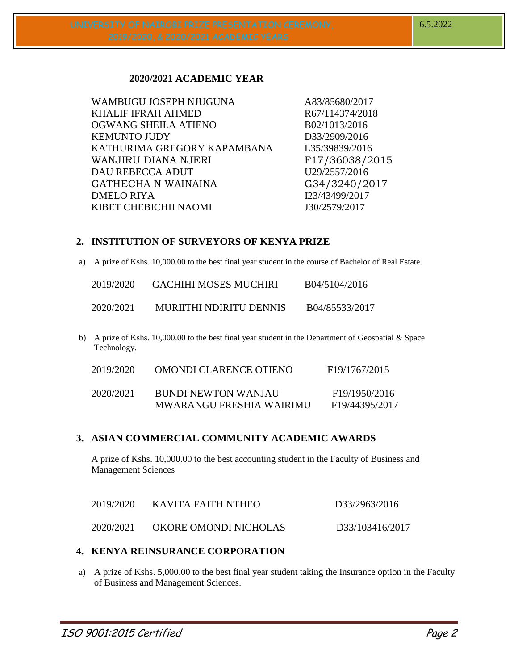# **2020/2021 ACADEMIC YEAR**

| WAMBUGU JOSEPH NJUGUNA      | A83/85680/2017  |
|-----------------------------|-----------------|
| <b>KHALIF IFRAH AHMED</b>   | R67/114374/2018 |
| OGWANG SHEILA ATIENO        | B02/1013/2016   |
| <b>KEMUNTO JUDY</b>         | D33/2909/2016   |
| KATHURIMA GREGORY KAPAMBANA | L35/39839/2016  |
| WANJIRU DIANA NJERI         | F17/36038/2015  |
| <b>DAU REBECCA ADUT</b>     | U29/2557/2016   |
| GATHECHA N WAINAINA         | G34/3240/2017   |
| <b>DMELO RIYA</b>           | I23/43499/2017  |
| KIBET CHEBICHII NAOMI       | J30/2579/2017   |
|                             |                 |

# **2. INSTITUTION OF SURVEYORS OF KENYA PRIZE**

a) A prize of Kshs. 10,000.00 to the best final year student in the course of Bachelor of Real Estate.

| 2019/2020 | GACHIHI MOSES MUCHIRI   | B04/5104/2016  |
|-----------|-------------------------|----------------|
| 2020/2021 | MURIITHI NDIRITU DENNIS | B04/85533/2017 |

b) A prize of Kshs. 10,000.00 to the best final year student in the Department of Geospatial & Space Technology.

| 2019/2020 | OMONDI CLARENCE OTIENO                          | F <sub>19</sub> /1767/2015                                |
|-----------|-------------------------------------------------|-----------------------------------------------------------|
| 2020/2021 | BUNDI NEWTON WANJAU<br>MWARANGU FRESHIA WAIRIMU | F <sub>19</sub> /1950/2016<br>F <sub>19</sub> /44395/2017 |

# **3. ASIAN COMMERCIAL COMMUNITY ACADEMIC AWARDS**

A prize of Kshs. 10,000.00 to the best accounting student in the Faculty of Business and Management Sciences

| 2019/2020 | KAVITA FAITH NTHEO    | D33/2963/2016   |
|-----------|-----------------------|-----------------|
| 2020/2021 | OKORE OMONDI NICHOLAS | D33/103416/2017 |

# **4. KENYA REINSURANCE CORPORATION**

a) A prize of Kshs. 5,000.00 to the best final year student taking the Insurance option in the Faculty of Business and Management Sciences.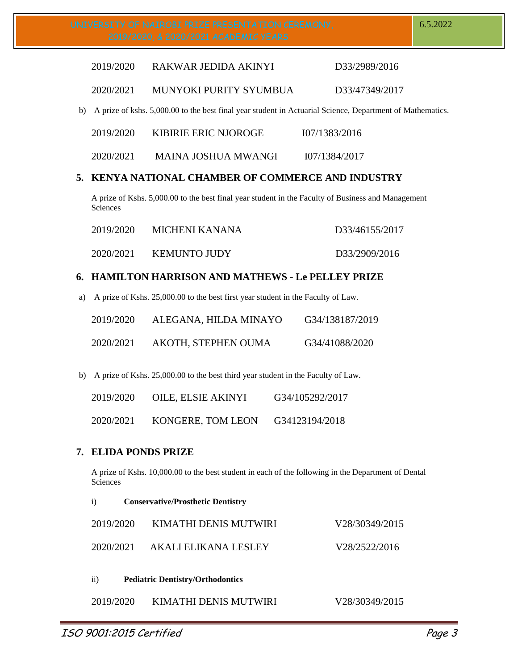| 2019/2020 | RAKWAR JEDIDA AKINYI | D33/2989/2016 |
|-----------|----------------------|---------------|
|           |                      |               |

2020/2021 MUNYOKI PURITY SYUMBUA D33/47349/2017

b) A prize of kshs. 5,000.00 to the best final year student in Actuarial Science, Department of Mathematics.

| 2019/2020 | <b>KIBIRIE ERIC NJOROGE</b> | 107/1383/2016 |
|-----------|-----------------------------|---------------|
| 2020/2021 | MAINA JOSHUA MWANGI         | 107/1384/2017 |

# **5. KENYA NATIONAL CHAMBER OF COMMERCE AND INDUSTRY**

A prize of Kshs. 5,000.00 to the best final year student in the Faculty of Business and Management Sciences

| 2019/2020 | MICHENI KANANA      | D33/46155/2017 |
|-----------|---------------------|----------------|
| 2020/2021 | <b>KEMUNTO JUDY</b> | D33/2909/2016  |

# **6. HAMILTON HARRISON AND MATHEWS - Le PELLEY PRIZE**

a) A prize of Kshs. 25,000.00 to the best first year student in the Faculty of Law.

| 2019/2020 | ALEGANA, HILDA MINAYO | G34/138187/2019 |
|-----------|-----------------------|-----------------|
| 2020/2021 | AKOTH, STEPHEN OUMA   | G34/41088/2020  |

b) A prize of Kshs. 25,000.00 to the best third year student in the Faculty of Law.

| 2019/2020 | OILE, ELSIE AKINYI | G34/105292/2017 |
|-----------|--------------------|-----------------|
| 2020/2021 | KONGERE, TOM LEON  | G34123194/2018  |

# **7. ELIDA PONDS PRIZE**

A prize of Kshs. 10,000.00 to the best student in each of the following in the Department of Dental Sciences

| $\ddot{1}$<br><b>Conservative/Prosthetic Dentistry</b> |                                         |                |  |
|--------------------------------------------------------|-----------------------------------------|----------------|--|
| 2019/2020                                              | KIMATHI DENIS MUTWIRI                   | V28/30349/2015 |  |
| 2020/2021                                              | AKALI ELIKANA LESLEY                    | V28/2522/2016  |  |
| $\mathbf{ii}$                                          | <b>Pediatric Dentistry/Orthodontics</b> |                |  |
| 2019/2020                                              | KIMATHI DENIS MUTWIRI                   | V28/30349/2015 |  |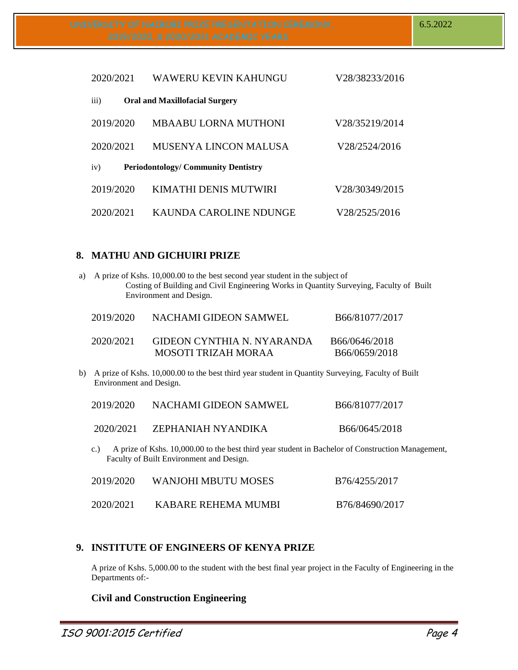| 2020/2021 | WAWERU KEVIN KAHUNGU                      | V28/38233/2016 |
|-----------|-------------------------------------------|----------------|
| iii)      | <b>Oral and Maxillofacial Surgery</b>     |                |
| 2019/2020 | MBAABU LORNA MUTHONI                      | V28/35219/2014 |
| 2020/2021 | <b>MUSENYA LINCON MALUSA</b>              | V28/2524/2016  |
| iv)       | <b>Periodontology/Community Dentistry</b> |                |
| 2019/2020 | KIMATHI DENIS MUTWIRI                     | V28/30349/2015 |
| 2020/2021 | KAUNDA CAROLINE NDUNGE                    | V28/2525/2016  |

## **8. MATHU AND GICHUIRI PRIZE**

| a)                                                                                                                                                  | A prize of Kshs. 10,000.00 to the best second year student in the subject of<br>Costing of Building and Civil Engineering Works in Quantity Surveying, Faculty of Built<br>Environment and Design. |                                                          |                                |
|-----------------------------------------------------------------------------------------------------------------------------------------------------|----------------------------------------------------------------------------------------------------------------------------------------------------------------------------------------------------|----------------------------------------------------------|--------------------------------|
|                                                                                                                                                     | 2019/2020                                                                                                                                                                                          | NACHAMI GIDEON SAMWEL                                    | B66/81077/2017                 |
|                                                                                                                                                     | 2020/2021                                                                                                                                                                                          | <b>GIDEON CYNTHIA N. NYARANDA</b><br>MOSOTI TRIZAH MORAA | B66/0646/2018<br>B66/0659/2018 |
| b)                                                                                                                                                  | A prize of Kshs. 10,000.00 to the best third year student in Quantity Surveying, Faculty of Built<br>Environment and Design.                                                                       |                                                          |                                |
|                                                                                                                                                     | 2019/2020                                                                                                                                                                                          | <b>NACHAMI GIDEON SAMWEL</b>                             | B66/81077/2017                 |
|                                                                                                                                                     | 2020/2021                                                                                                                                                                                          | ZEPHANIAH NYANDIKA                                       | B66/0645/2018                  |
| A prize of Kshs. 10,000.00 to the best third year student in Bachelor of Construction Management,<br>c.<br>Faculty of Built Environment and Design. |                                                                                                                                                                                                    |                                                          |                                |
|                                                                                                                                                     | 2019/2020                                                                                                                                                                                          | <b>WANJOHI MBUTU MOSES</b>                               | B76/4255/2017                  |
|                                                                                                                                                     | 2020/2021                                                                                                                                                                                          | KABARE REHEMA MUMBI                                      | B76/84690/2017                 |

# **9. INSTITUTE OF ENGINEERS OF KENYA PRIZE**

A prize of Kshs. 5,000.00 to the student with the best final year project in the Faculty of Engineering in the Departments of:-

# **Civil and Construction Engineering**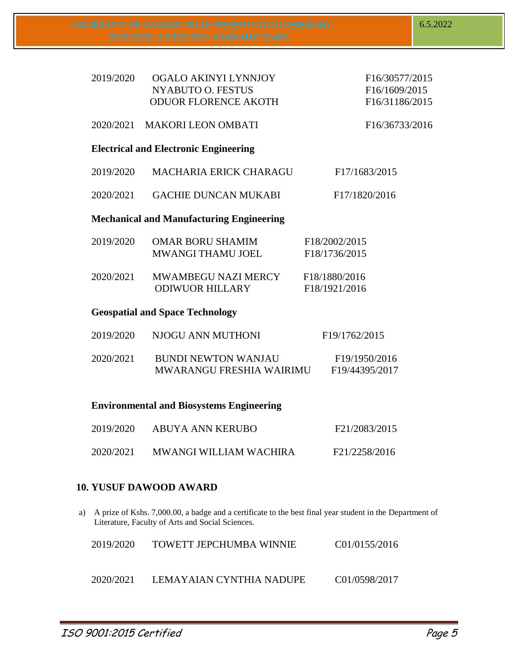6.5.2022

| 2019/2020                                       | OGALO AKINYI LYNNJOY<br>NYABUTO O. FESTUS<br><b>ODUOR FLORENCE AKOTH</b> | F16/30577/2015<br>F16/1609/2015<br>F16/31186/2015 |  |  |
|-------------------------------------------------|--------------------------------------------------------------------------|---------------------------------------------------|--|--|
|                                                 | 2020/2021 MAKORI LEON OMBATI                                             | F16/36733/2016                                    |  |  |
|                                                 | <b>Electrical and Electronic Engineering</b>                             |                                                   |  |  |
| 2019/2020                                       | <b>MACHARIA ERICK CHARAGU</b>                                            | F17/1683/2015                                     |  |  |
| 2020/2021                                       | <b>GACHIE DUNCAN MUKABI</b>                                              | F17/1820/2016                                     |  |  |
|                                                 | <b>Mechanical and Manufacturing Engineering</b>                          |                                                   |  |  |
| 2019/2020                                       | <b>OMAR BORU SHAMIM</b><br><b>MWANGI THAMU JOEL</b>                      | F18/2002/2015<br>F18/1736/2015                    |  |  |
| 2020/2021                                       | MWAMBEGU NAZI MERCY<br><b>ODIWUOR HILLARY</b>                            | F18/1880/2016<br>F18/1921/2016                    |  |  |
|                                                 | <b>Geospatial and Space Technology</b>                                   |                                                   |  |  |
| 2019/2020                                       | NJOGU ANN MUTHONI                                                        | F19/1762/2015                                     |  |  |
| 2020/2021                                       | <b>BUNDI NEWTON WANJAU</b><br><b>MWARANGU FRESHIA WAIRIMU</b>            | F19/1950/2016<br>F19/44395/2017                   |  |  |
| <b>Environmental and Biosystems Engineering</b> |                                                                          |                                                   |  |  |
| 2019/2020                                       | <b>ABUYA ANN KERUBO</b>                                                  | F21/2083/2015                                     |  |  |

2020/2021 MWANGI WILLIAM WACHIRA F21/2258/2016

# **10. YUSUF DAWOOD AWARD**

a) A prize of Kshs. 7,000.00, a badge and a certificate to the best final year student in the Department of Literature, Faculty of Arts and Social Sciences.

| 2019/2020 | <b>TOWETT JEPCHUMBA WINNIE</b> | C01/0155/2016 |
|-----------|--------------------------------|---------------|
| 2020/2021 | LEMAYAIAN CYNTHIA NADUPE       | C01/0598/2017 |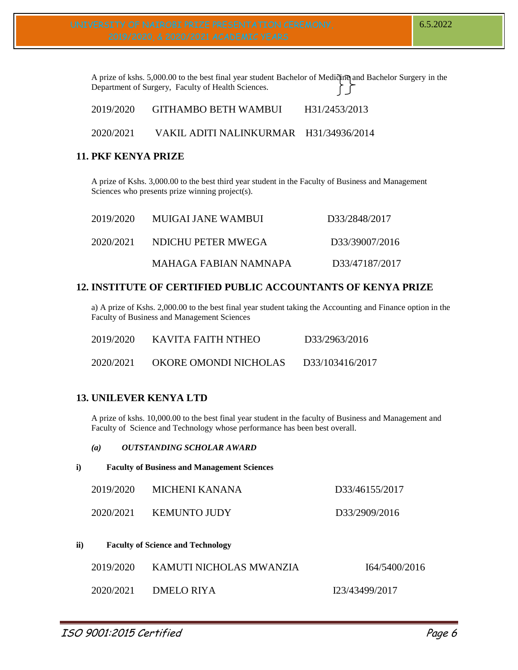A prize of kshs. 5,000.00 to the best final year student Bachelor of Medicine and Bachelor Surgery in the Department of Surgery, Faculty of Health Sciences.

| 2019/2020 | <b>GITHAMBO BETH WAMBUI</b> | H31/2453/2013 |
|-----------|-----------------------------|---------------|
|           |                             |               |

## 2020/2021 VAKIL ADITI NALINKURMAR H31/34936/2014

#### **11. PKF KENYA PRIZE**

A prize of Kshs. 3,000.00 to the best third year student in the Faculty of Business and Management Sciences who presents prize winning project(s).

| 2019/2020 | MUIGALIANE WAMBUL     | D33/2848/2017  |
|-----------|-----------------------|----------------|
| 2020/2021 | NDICHU PETER MWEGA    | D33/39007/2016 |
|           | MAHAGA FABIAN NAMNAPA | D33/47187/2017 |

## **12. INSTITUTE OF CERTIFIED PUBLIC ACCOUNTANTS OF KENYA PRIZE**

a) A prize of Kshs. 2,000.00 to the best final year student taking the Accounting and Finance option in the Faculty of Business and Management Sciences

| 2019/2020 | KAVITA FAITH NTHEO    | D33/2963/2016   |
|-----------|-----------------------|-----------------|
| 2020/2021 | OKORE OMONDI NICHOLAS | D33/103416/2017 |

# **13. UNILEVER KENYA LTD**

A prize of kshs. 10,000.00 to the best final year student in the faculty of Business and Management and Faculty of Science and Technology whose performance has been best overall.

| (a) | <i>OUTSTANDING SCHOLAR AWARD</i> |
|-----|----------------------------------|
|-----|----------------------------------|

| i) |  | <b>Faculty of Business and Management Sciences</b> |  |
|----|--|----------------------------------------------------|--|
|    |  |                                                    |  |

| 2019/2020 | MICHENI KANANA      | D33/46155/2017 |
|-----------|---------------------|----------------|
| 2020/2021 | <b>KEMUNTO JUDY</b> | D33/2909/2016  |

**ii) Faculty of Science and Technology**

| 2019/2020 | KAMUTI NICHOLAS MWANZIA | 164/5400/2016  |
|-----------|-------------------------|----------------|
| 2020/2021 | DMELO RIYA              | I23/43499/2017 |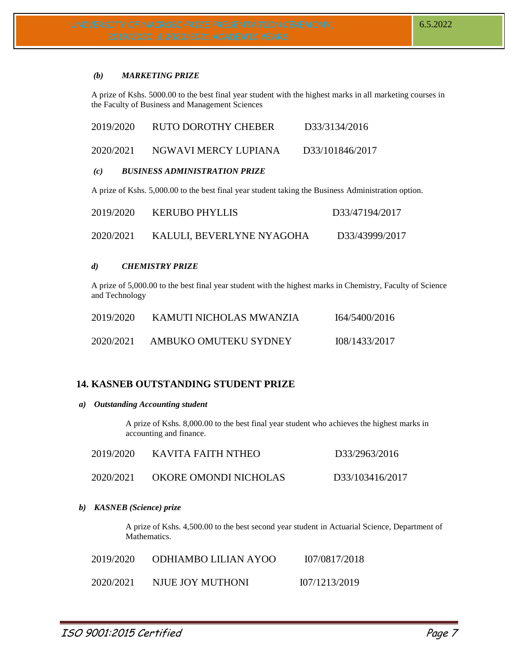#### *(b) MARKETING PRIZE*

A prize of Kshs. 5000.00 to the best final year student with the highest marks in all marketing courses in the Faculty of Business and Management Sciences

| A prize of Kshs. 5,000.00 to the best final year student taking the Business Administration option. |                                      |                 |  |
|-----------------------------------------------------------------------------------------------------|--------------------------------------|-----------------|--|
| (c)                                                                                                 | <b>BUSINESS ADMINISTRATION PRIZE</b> |                 |  |
| 2020/2021                                                                                           | NGWAVI MERCY LUPIANA                 | D33/101846/2017 |  |
| 2019/2020                                                                                           | <b>RUTO DOROTHY CHEBER</b>           | D33/3134/2016   |  |

| 2019/2020 | <b>KERUBO PHYLLIS</b>     | D33/47194/2017 |
|-----------|---------------------------|----------------|
| 2020/2021 | KALULI, BEVERLYNE NYAGOHA | D33/43999/2017 |

#### *d) CHEMISTRY PRIZE*

A prize of 5,000.00 to the best final year student with the highest marks in Chemistry, Faculty of Science and Technology

| 2019/2020 | KAMUTI NICHOLAS MWANZIA | I64/5400/2016 |
|-----------|-------------------------|---------------|
| 2020/2021 | AMBUKO OMUTEKU SYDNEY   | 108/1433/2017 |

# **14. KASNEB OUTSTANDING STUDENT PRIZE**

#### *a) Outstanding Accounting student*

A prize of Kshs. 8,000.00 to the best final year student who achieves the highest marks in accounting and finance.

| 2019/2020 | KAVITA FAITH NTHEO    | D33/2963/2016   |
|-----------|-----------------------|-----------------|
| 2020/2021 | OKORE OMONDI NICHOLAS | D33/103416/2017 |

*b) KASNEB (Science) prize*

A prize of Kshs. 4,500.00 to the best second year student in Actuarial Science, Department of Mathematics.

| 2019/2020 | ODHIAMBO LILIAN AYOO | 107/0817/2018 |
|-----------|----------------------|---------------|
| 2020/2021 | NJUE JOY MUTHONI     | 107/1213/2019 |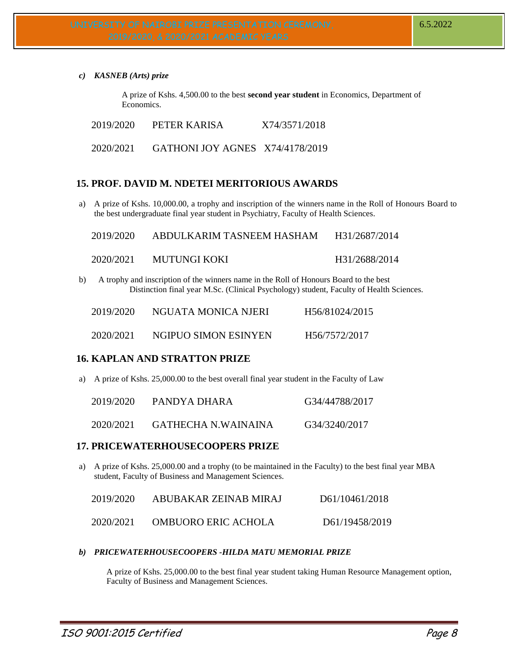*c) KASNEB (Arts) prize*

A prize of Kshs. 4,500.00 to the best **second year student** in Economics, Department of Economics.

2019/2020 PETER KARISA X74/3571/2018

2020/2021 GATHONI JOY AGNES X74/4178/2019

# **15. PROF. DAVID M. NDETEI MERITORIOUS AWARDS**

a) A prize of Kshs. 10,000.00, a trophy and inscription of the winners name in the Roll of Honours Board to the best undergraduate final year student in Psychiatry, Faculty of Health Sciences.

| 2019/2020 | ABDULKARIM TASNEEM HASHAM | H31/2687/2014 |
|-----------|---------------------------|---------------|
| 2020/2021 | MUTUNGI KOKI              | H31/2688/2014 |

b) A trophy and inscription of the winners name in the Roll of Honours Board to the best Distinction final year M.Sc. (Clinical Psychology) student, Faculty of Health Sciences.

| 2019/2020 | NGUATA MONICA NJERI  | H <sub>56</sub> /81024/2015 |
|-----------|----------------------|-----------------------------|
| 2020/2021 | NGIPUO SIMON ESINYEN | H56/7572/2017               |

## **16. KAPLAN AND STRATTON PRIZE**

a) A prize of Kshs. 25,000.00 to the best overall final year student in the Faculty of Law

| 2019/2020 | PANDYA DHARA        | G34/44788/2017 |
|-----------|---------------------|----------------|
| 2020/2021 | GATHECHA N.WAINAINA | G34/3240/2017  |

#### **17. PRICEWATERHOUSECOOPERS PRIZE**

a) A prize of Kshs. 25,000.00 and a trophy (to be maintained in the Faculty) to the best final year MBA student, Faculty of Business and Management Sciences.

| 2019/2020 | ABUBAKAR ZEINAB MIRAJ | D61/10461/2018 |
|-----------|-----------------------|----------------|
| 2020/2021 | OMBUORO ERIC ACHOLA   | D61/19458/2019 |

#### *b) PRICEWATERHOUSECOOPERS -HILDA MATU MEMORIAL PRIZE*

A prize of Kshs. 25,000.00 to the best final year student taking Human Resource Management option, Faculty of Business and Management Sciences.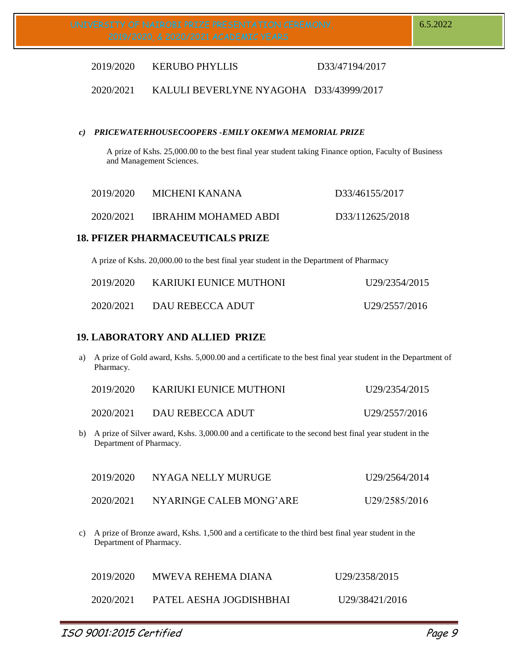## 2019/2020 KERUBO PHYLLIS D33/47194/2017

## 2020/2021 KALULI BEVERLYNE NYAGOHA D33/43999/2017

#### *c) PRICEWATERHOUSECOOPERS -EMILY OKEMWA MEMORIAL PRIZE*

A prize of Kshs. 25,000.00 to the best final year student taking Finance option, Faculty of Business and Management Sciences.

| 2019/2020 | MICHENI KANANA       | D33/46155/2017  |
|-----------|----------------------|-----------------|
| 2020/2021 | IBRAHIM MOHAMED ABDI | D33/112625/2018 |

## **18. PFIZER PHARMACEUTICALS PRIZE**

A prize of Kshs. 20,000.00 to the best final year student in the Department of Pharmacy

| 2019/2020 | KARIUKI EUNICE MUTHONI | U29/2354/2015 |
|-----------|------------------------|---------------|
| 2020/2021 | DAU REBECCA ADUT       | U29/2557/2016 |

## **19. LABORATORY AND ALLIED PRIZE**

a) A prize of Gold award, Kshs. 5,000.00 and a certificate to the best final year student in the Department of Pharmacy.

| 2019/2020 | KARIUKI EUNICE MUTHONI | U29/2354/2015 |
|-----------|------------------------|---------------|
| 2020/2021 | DAU REBECCA ADUT       | U29/2557/2016 |

b) A prize of Silver award, Kshs. 3,000.00 and a certificate to the second best final year student in the Department of Pharmacy.

| 2019/2020 | NYAGA NELLY MURUGE      | U29/2564/2014              |
|-----------|-------------------------|----------------------------|
| 2020/2021 | NYARINGE CALEB MONG'ARE | U <sub>29</sub> /2585/2016 |

c) A prize of Bronze award, Kshs. 1,500 and a certificate to the third best final year student in the Department of Pharmacy.

| 2019/2020 | MWEVA REHEMA DIANA      | U29/2358/2015               |
|-----------|-------------------------|-----------------------------|
| 2020/2021 | PATEL AESHA JOGDISHBHAI | U <sub>29</sub> /38421/2016 |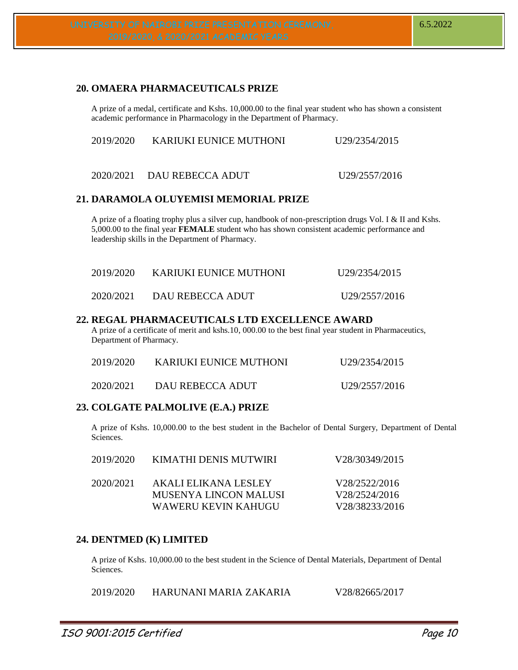# **20. OMAERA PHARMACEUTICALS PRIZE**

A prize of a medal, certificate and Kshs. 10,000.00 to the final year student who has shown a consistent academic performance in Pharmacology in the Department of Pharmacy.

| 2019/2020 | KARIUKI EUNICE MUTHONI     | U <sub>29</sub> /2354/2015 |
|-----------|----------------------------|----------------------------|
|           | 2020/2021 DAU REBECCA ADUT | U <sub>29</sub> /2557/2016 |

#### **21. DARAMOLA OLUYEMISI MEMORIAL PRIZE**

A prize of a floating trophy plus a silver cup, handbook of non-prescription drugs Vol. I & II and Kshs. 5,000.00 to the final year **FEMALE** student who has shown consistent academic performance and leadership skills in the Department of Pharmacy.

| 2019/2020 | KARIUKI EUNICE MUTHONI | U29/2354/2015 |
|-----------|------------------------|---------------|
| 2020/2021 | DAU REBECCA ADUT       | U29/2557/2016 |

#### **22. REGAL PHARMACEUTICALS LTD EXCELLENCE AWARD**

A prize of a certificate of merit and kshs.10, 000.00 to the best final year student in Pharmaceutics, Department of Pharmacy.

| 2019/2020 | KARIUKI EUNICE MUTHONI | U <sub>29</sub> /2354/2015 |
|-----------|------------------------|----------------------------|
| 2020/2021 | DAU REBECCA ADUT       | U29/2557/2016              |

#### **23. COLGATE PALMOLIVE (E.A.) PRIZE**

A prize of Kshs. 10,000.00 to the best student in the Bachelor of Dental Surgery, Department of Dental Sciences.

| 2019/2020 | KIMATHI DENIS MUTWIRI                         | V28/30349/2015                 |
|-----------|-----------------------------------------------|--------------------------------|
| 2020/2021 | AKALI ELIKANA LESLEY<br>MUSENYA LINCON MALUSI | V28/2522/2016<br>V28/2524/2016 |
|           | WAWERU KEVIN KAHUGU                           | V28/38233/2016                 |

# **24. DENTMED (K) LIMITED**

A prize of Kshs. 10,000.00 to the best student in the Science of Dental Materials, Department of Dental Sciences.

2019/2020 HARUNANI MARIA ZAKARIA V28/82665/2017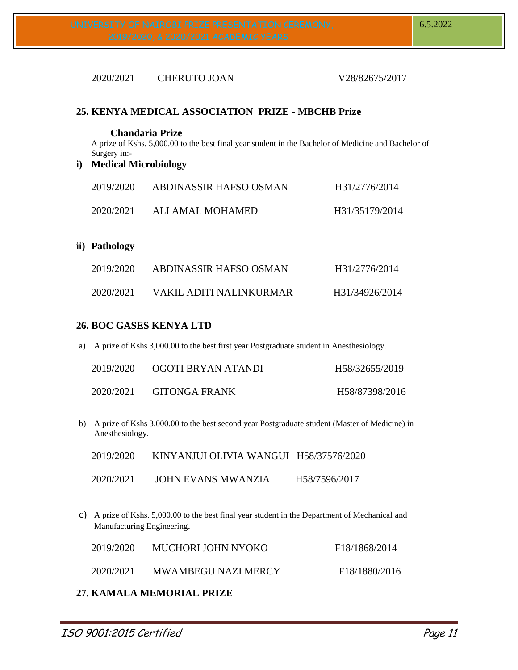# 2020/2021 CHERUTO JOAN V28/82675/2017

## **25. KENYA MEDICAL ASSOCIATION PRIZE - MBCHB Prize**

#### **Chandaria Prize**

A prize of Kshs. 5,000.00 to the best final year student in the Bachelor of Medicine and Bachelor of Surgery in:-

**i) Medical Microbiology**

| 2019/2020 | ABDINASSIR HAFSO OSMAN | H31/2776/2014  |
|-----------|------------------------|----------------|
| 2020/2021 | ALI AMAL MOHAMED       | H31/35179/2014 |

#### **ii) Pathology**

| 2019/2020 | ABDINASSIR HAFSO OSMAN  | H31/2776/2014  |
|-----------|-------------------------|----------------|
| 2020/2021 | VAKIL ADITI NALINKURMAR | H31/34926/2014 |

## **26. BOC GASES KENYA LTD**

a) A prize of Kshs 3,000.00 to the best first year Postgraduate student in Anesthesiology.

| 2019/2020 | OGOTI BRYAN ATANDI | H58/32655/2019 |
|-----------|--------------------|----------------|
| 2020/2021 | GITONGA FRANK      | H58/87398/2016 |

b) A prize of Kshs 3,000.00 to the best second year Postgraduate student (Master of Medicine) in Anesthesiology.

| 2019/2020 | KINYANJUI OLIVIA WANGUI H58/37576/2020 |               |
|-----------|----------------------------------------|---------------|
| 2020/2021 | <b>JOHN EVANS MWANZIA</b>              | H58/7596/2017 |

c) A prize of Kshs. 5,000.00 to the best final year student in the Department of Mechanical and Manufacturing Engineering.

| 2019/2020 | MUCHORI JOHN NYOKO         | F <sub>18</sub> /1868/2014 |
|-----------|----------------------------|----------------------------|
| 2020/2021 | <b>MWAMBEGU NAZI MERCY</b> | F18/1880/2016              |

# **27. KAMALA MEMORIAL PRIZE**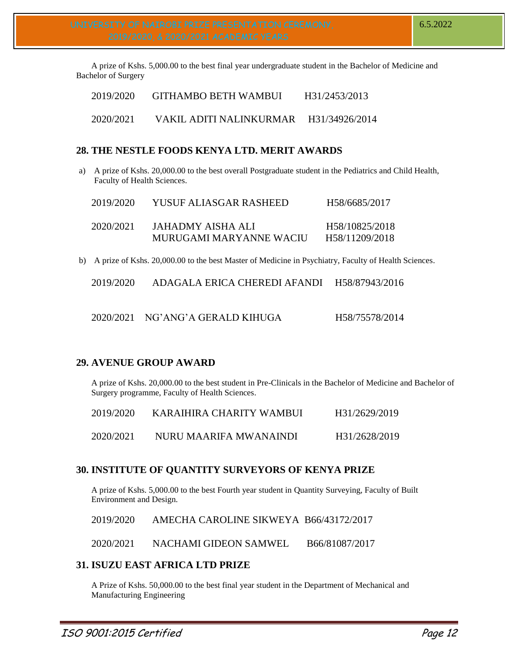A prize of Kshs. 5,000.00 to the best final year undergraduate student in the Bachelor of Medicine and Bachelor of Surgery

| 2019/2020 | GITHAMBO BETH WAMBUI                   | H31/2453/2013 |
|-----------|----------------------------------------|---------------|
| 2020/2021 | VAKIL ADITI NALINKURMAR H31/34926/2014 |               |

# **28. THE NESTLE FOODS KENYA LTD. MERIT AWARDS**

a) A prize of Kshs. 20,000.00 to the best overall Postgraduate student in the Pediatrics and Child Health, Faculty of Health Sciences.

| 2019/2020 | YUSUF ALIASGAR RASHEED                       | H58/6685/2017                                 |
|-----------|----------------------------------------------|-----------------------------------------------|
| 2020/2021 | JAHADMY AISHA ALI<br>MURUGAMI MARYANNE WACIU | H58/10825/2018<br>H <sub>58</sub> /11209/2018 |

b) A prize of Kshs. 20,000.00 to the best Master of Medicine in Psychiatry, Faculty of Health Sciences.

| 2019/2020<br>H58/87943/2016<br>ADAGALA ERICA CHEREDI AFANDI |
|-------------------------------------------------------------|
|-------------------------------------------------------------|

| 2020/2021 NG'ANG'A GERALD KIHUGA | H58/75578/2014 |
|----------------------------------|----------------|
|                                  |                |

# **29. AVENUE GROUP AWARD**

A prize of Kshs. 20,000.00 to the best student in Pre-Clinicals in the Bachelor of Medicine and Bachelor of Surgery programme, Faculty of Health Sciences.

| 2019/2020 | KARAIHIRA CHARITY WAMBUI | H31/2629/2019 |
|-----------|--------------------------|---------------|
| 2020/2021 | NURU MAARIFA MWANAINDI   | H31/2628/2019 |

# **30. INSTITUTE OF QUANTITY SURVEYORS OF KENYA PRIZE**

A prize of Kshs. 5,000.00 to the best Fourth year student in Quantity Surveying, Faculty of Built Environment and Design.

2019/2020 AMECHA CAROLINE SIKWEYA B66/43172/2017

2020/2021 NACHAMI GIDEON SAMWEL B66/81087/2017

# **31. ISUZU EAST AFRICA LTD PRIZE**

A Prize of Kshs. 50,000.00 to the best final year student in the Department of Mechanical and Manufacturing Engineering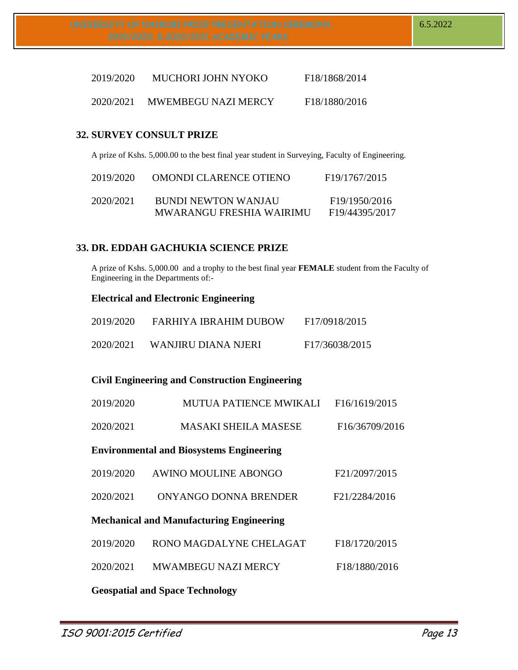| 2019/2020 | MUCHORI JOHN NYOKO         | F18/1868/2014              |
|-----------|----------------------------|----------------------------|
| 2020/2021 | <b>MWEMBEGU NAZI MERCY</b> | F <sub>18</sub> /1880/2016 |

# **32. SURVEY CONSULT PRIZE**

A prize of Kshs. 5,000.00 to the best final year student in Surveying, Faculty of Engineering.

| 2019/2020 | OMONDI CLARENCE OTIENO   | F <sub>19</sub> /1767/2015  |
|-----------|--------------------------|-----------------------------|
| 2020/2021 | BUNDI NEWTON WANJAU      | F <sub>19</sub> /1950/2016  |
|           | MWARANGU FRESHIA WAIRIMU | F <sub>19</sub> /44395/2017 |

## **33. DR. EDDAH GACHUKIA SCIENCE PRIZE**

A prize of Kshs. 5,000.00 and a trophy to the best final year **FEMALE** student from the Faculty of Engineering in the Departments of:-

## **Electrical and Electronic Engineering**

| 2019/2020 | FARHIYA IBRAHIM DUBOW | F17/0918/2015  |
|-----------|-----------------------|----------------|
| 2020/2021 | WANJIRU DIANA NJERI   | F17/36038/2015 |

# **Civil Engineering and Construction Engineering**

| 2019/2020 | <b>MUTUA PATIENCE MWIKALI</b>                   | F16/1619/2015  |
|-----------|-------------------------------------------------|----------------|
| 2020/2021 | <b>MASAKI SHEILA MASESE</b>                     | F16/36709/2016 |
|           | <b>Environmental and Biosystems Engineering</b> |                |
| 2019/2020 | <b>AWINO MOULINE ABONGO</b>                     | F21/2097/2015  |
| 2020/2021 | ONYANGO DONNA BRENDER                           | F21/2284/2016  |
|           | <b>Mechanical and Manufacturing Engineering</b> |                |
| 2019/2020 | RONO MAGDALYNE CHELAGAT                         | F18/1720/2015  |
| 2020/2021 | <b>MWAMBEGU NAZI MERCY</b>                      | F18/1880/2016  |
|           | <b>Geospatial and Space Technology</b>          |                |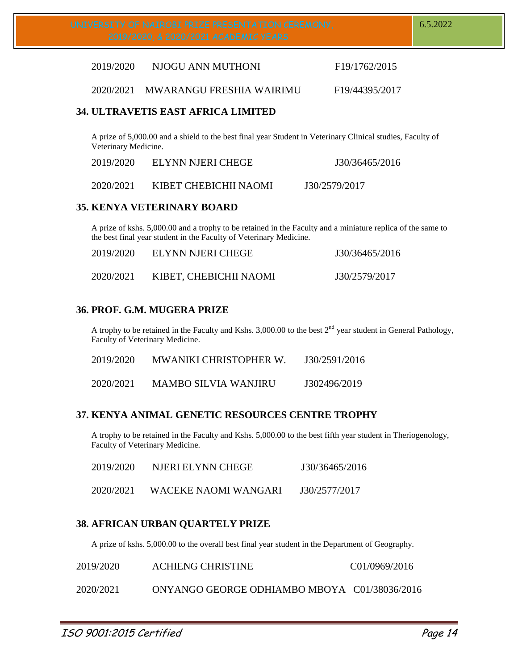2019/2020 NJOGU ANN MUTHONI F19/1762/2015

2020/2021 MWARANGU FRESHIA WAIRIMU F19/44395/2017

# **34. ULTRAVETIS EAST AFRICA LIMITED**

A prize of 5,000.00 and a shield to the best final year Student in Veterinary Clinical studies, Faculty of Veterinary Medicine.

| 2019/2020 | ELYNN NJERI CHEGE     | J30/36465/2016 |
|-----------|-----------------------|----------------|
| 2020/2021 | KIBET CHEBICHII NAOMI | J30/2579/2017  |

# **35. KENYA VETERINARY BOARD**

A prize of kshs. 5,000.00 and a trophy to be retained in the Faculty and a miniature replica of the same to the best final year student in the Faculty of Veterinary Medicine.

| 2019/2020 | ELYNN NJERI CHEGE      | J30/36465/2016 |
|-----------|------------------------|----------------|
| 2020/2021 | KIBET, CHEBICHII NAOMI | J30/2579/2017  |

# **36. PROF. G.M. MUGERA PRIZE**

A trophy to be retained in the Faculty and Kshs. 3,000.00 to the best  $2<sup>nd</sup>$  year student in General Pathology, Faculty of Veterinary Medicine.

| 2019/2020 | <b>MWANIKI CHRISTOPHER W.</b> | J30/2591/2016 |
|-----------|-------------------------------|---------------|
| 2020/2021 | <b>MAMBO SILVIA WANJIRU</b>   | J302496/2019  |

# **37. KENYA ANIMAL GENETIC RESOURCES CENTRE TROPHY**

A trophy to be retained in the Faculty and Kshs. 5,000.00 to the best fifth year student in Theriogenology, Faculty of Veterinary Medicine.

| 2019/2020 | NJERI ELYNN CHEGE    | J30/36465/2016 |
|-----------|----------------------|----------------|
| 2020/2021 | WACEKE NAOMI WANGARI | J30/2577/2017  |

# **38. AFRICAN URBAN QUARTELY PRIZE**

A prize of kshs. 5,000.00 to the overall best final year student in the Department of Geography.

| 2019/2020 | <b>ACHIENG CHRISTINE</b>                     | C01/0969/2016 |
|-----------|----------------------------------------------|---------------|
| 2020/2021 | ONYANGO GEORGE ODHIAMBO MBOYA C01/38036/2016 |               |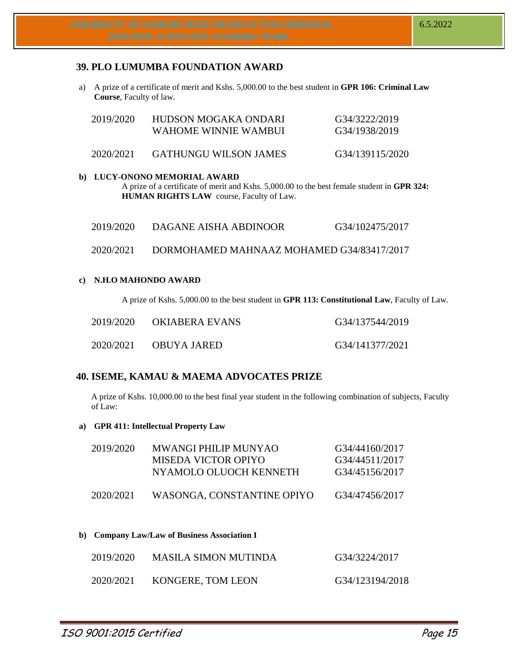# **39. PLO LUMUMBA FOUNDATION AWARD**

a) A prize of a certificate of merit and Kshs. 5,000.00 to the best student in **GPR 106: Criminal Law Course**, Faculty of law.

| 2019/2020 | HUDSON MOGAKA ONDARI<br>WAHOME WINNIE WAMBUL | G34/3222/2019<br>G34/1938/2019 |
|-----------|----------------------------------------------|--------------------------------|
| 2020/2021 | GATHUNGU WILSON JAMES                        | G34/139115/2020                |

## **b) LUCY-ONONO MEMORIAL AWARD**

A prize of a certificate of merit and Kshs. 5,000.00 to the best female student in **GPR 324: HUMAN RIGHTS LAW** course, Faculty of Law.

2020/2021 DORMOHAMED MAHNAAZ MOHAMED G34/83417/2017

#### **c) N.H.O MAHONDO AWARD**

A prize of Kshs. 5,000.00 to the best student in **GPR 113: Constitutional Law**, Faculty of Law.

| 2019/2020 | OKIABERA EVANS | G34/137544/2019 |
|-----------|----------------|-----------------|
| 2020/2021 | OBUYA JARED    | G34/141377/2021 |

# **40. ISEME, KAMAU & MAEMA ADVOCATES PRIZE**

A prize of Kshs. 10,000.00 to the best final year student in the following combination of subjects, Faculty of Law:

#### **a) GPR 411: Intellectual Property Law**

| 2019/2020 | <b>MWANGI PHILIP MUNYAO</b><br>MISEDA VICTOR OPIYO<br>NYAMOLO OLUOCH KENNETH | G34/44160/2017<br>G34/44511/2017<br>G34/45156/2017 |
|-----------|------------------------------------------------------------------------------|----------------------------------------------------|
| 2020/2021 | WASONGA, CONSTANTINE OPIYO                                                   | G34/47456/2017                                     |

**b) Company Law/Law of Business Association I**

| 2019/2020 | <b>MASILA SIMON MUTINDA</b> | G34/3224/2017   |
|-----------|-----------------------------|-----------------|
| 2020/2021 | KONGERE, TOM LEON           | G34/123194/2018 |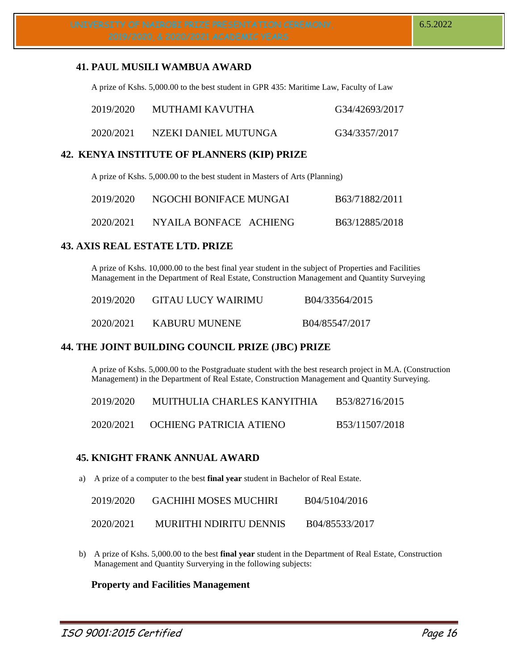## **41. PAUL MUSILI WAMBUA AWARD**

A prize of Kshs. 5,000.00 to the best student in GPR 435: Maritime Law, Faculty of Law

| 2019/2020 | MUTHAMI KAVUTHA      | G34/42693/2017 |
|-----------|----------------------|----------------|
| 2020/2021 | NZEKI DANIEL MUTUNGA | G34/3357/2017  |

#### **42. KENYA INSTITUTE OF PLANNERS (KIP) PRIZE**

A prize of Kshs. 5,000.00 to the best student in Masters of Arts (Planning)

| 2019/2020 | NGOCHI BONIFACE MUNGAI | B63/71882/2011 |
|-----------|------------------------|----------------|
| 2020/2021 | NYAILA BONFACE ACHIENG | B63/12885/2018 |

#### **43. AXIS REAL ESTATE LTD. PRIZE**

A prize of Kshs. 10,000.00 to the best final year student in the subject of Properties and Facilities Management in the Department of Real Estate, Construction Management and Quantity Surveying

| 2019/2020 | <b>GITAU LUCY WAIRIMU</b> | B04/33564/2015 |
|-----------|---------------------------|----------------|
| 2020/2021 | KABURU MUNENE             | B04/85547/2017 |

# **44. THE JOINT BUILDING COUNCIL PRIZE (JBC) PRIZE**

A prize of Kshs. 5,000.00 to the Postgraduate student with the best research project in M.A. (Construction Management) in the Department of Real Estate, Construction Management and Quantity Surveying.

| 2019/2020 | MUITHULIA CHARLES KANYITHIA | B53/82716/2015 |
|-----------|-----------------------------|----------------|
| 2020/2021 | OCHIENG PATRICIA ATIENO     | B53/11507/2018 |

# **45. KNIGHT FRANK ANNUAL AWARD**

a) A prize of a computer to the best **final year** student in Bachelor of Real Estate.

| 2019/2020 | <b>GACHIHI MOSES MUCHIRI</b>   | B04/5104/2016  |
|-----------|--------------------------------|----------------|
| 2020/2021 | <b>MURIITHI NDIRITU DENNIS</b> | B04/85533/2017 |

b) A prize of Kshs. 5,000.00 to the best **final year** student in the Department of Real Estate, Construction Management and Quantity Surverying in the following subjects:

#### **Property and Facilities Management**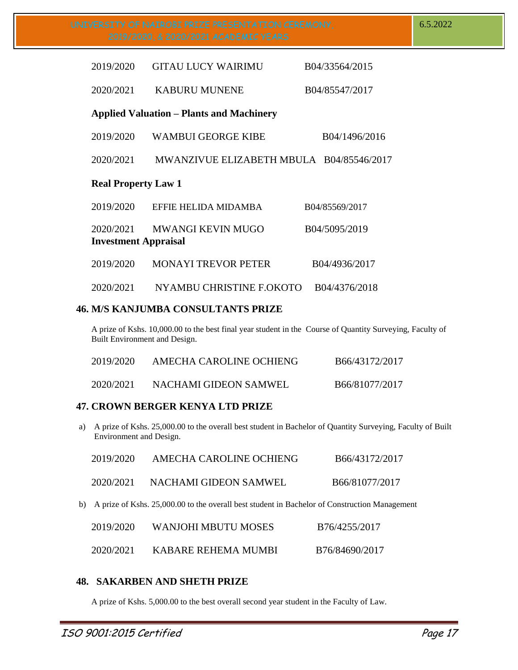| 2019/2020                                | <b>GITAU LUCY WAIRIMU</b>                       | B04/33564/2015 |  |  |
|------------------------------------------|-------------------------------------------------|----------------|--|--|
| 2020/2021                                | <b>KABURU MUNENE</b>                            | B04/85547/2017 |  |  |
|                                          | <b>Applied Valuation – Plants and Machinery</b> |                |  |  |
| 2019/2020                                | <b>WAMBUI GEORGE KIBE</b>                       | B04/1496/2016  |  |  |
| 2020/2021                                | MWANZIVUE ELIZABETH MBULA B04/85546/2017        |                |  |  |
| <b>Real Property Law 1</b>               |                                                 |                |  |  |
| 2019/2020                                | EFFIE HELIDA MIDAMBA                            | B04/85569/2017 |  |  |
| 2020/2021<br><b>Investment Appraisal</b> | <b>MWANGI KEVIN MUGO</b>                        | B04/5095/2019  |  |  |
| 2019/2020                                | <b>MONAYI TREVOR PETER</b>                      | B04/4936/2017  |  |  |
| 2020/2021                                | NYAMBU CHRISTINE F.OKOTO                        | B04/4376/2018  |  |  |

## **46. M/S KANJUMBA CONSULTANTS PRIZE**

A prize of Kshs. 10,000.00 to the best final year student in the Course of Quantity Surveying, Faculty of Built Environment and Design.

| 2019/2020 | AMECHA CAROLINE OCHIENG | B66/43172/2017 |
|-----------|-------------------------|----------------|
| 2020/2021 | NACHAMI GIDEON SAMWEL   | B66/81077/2017 |

# **47. CROWN BERGER KENYA LTD PRIZE**

a) A prize of Kshs. 25,000.00 to the overall best student in Bachelor of Quantity Surveying, Faculty of Built Environment and Design.

| 2019/2020 | AMECHA CAROLINE OCHIENG                                                                          | B66/43172/2017 |
|-----------|--------------------------------------------------------------------------------------------------|----------------|
| 2020/2021 | NACHAMI GIDEON SAMWEL                                                                            | B66/81077/2017 |
|           | b) A prize of Kshs. 25,000.00 to the overall best student in Bachelor of Construction Management |                |

| 2019/2020 | WANJOHI MBUTU MOSES | B76/4255/2017  |
|-----------|---------------------|----------------|
| 2020/2021 | KABARE REHEMA MUMBI | B76/84690/2017 |

# **48. SAKARBEN AND SHETH PRIZE**

A prize of Kshs. 5,000.00 to the best overall second year student in the Faculty of Law.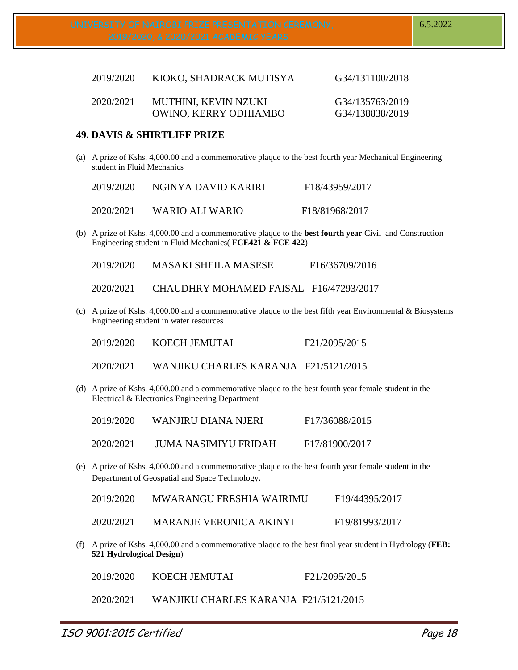| 2019/2020 | KIOKO, SHADRACK MUTISYA      | G34/131100/2018 |
|-----------|------------------------------|-----------------|
| 2020/2021 | MUTHINI, KEVIN NZUKI         | G34/135763/2019 |
|           | <b>OWINO, KERRY ODHIAMBO</b> | G34/138838/2019 |

## **49. DAVIS & SHIRTLIFF PRIZE**

(a) A prize of Kshs. 4,000.00 and a commemorative plaque to the best fourth year Mechanical Engineering student in Fluid Mechanics

| 2019/2020 | NGINYA DAVID KARIRI | F18/43959/2017              |
|-----------|---------------------|-----------------------------|
| 2020/2021 | WARIO ALI WARIO     | F <sub>18</sub> /81968/2017 |

(b) A prize of Kshs. 4,000.00 and a commemorative plaque to the **best fourth year** Civil and Construction Engineering student in Fluid Mechanics( **FCE421 & FCE 422**)

2019/2020 MASAKI SHEILA MASESE F16/36709/2016

2020/2021 CHAUDHRY MOHAMED FAISAL F16/47293/2017

(c) A prize of Kshs. 4,000.00 and a commemorative plaque to the best fifth year Environmental & Biosystems Engineering student in water resources

| 2019/2020 | KOECH JEMUTAI | F <sub>2</sub> 1/2095/2015 |
|-----------|---------------|----------------------------|
|-----------|---------------|----------------------------|

- 2020/2021 WANJIKU CHARLES KARANJA F21/5121/2015
- (d) A prize of Kshs. 4,000.00 and a commemorative plaque to the best fourth year female student in the Electrical & Electronics Engineering Department

| 2019/2020 | WANJIRU DIANA NJERI  | F17/36088/2015 |
|-----------|----------------------|----------------|
| 2020/2021 | JUMA NASIMIYU FRIDAH | F17/81900/2017 |

(e) A prize of Kshs. 4,000.00 and a commemorative plaque to the best fourth year female student in the Department of Geospatial and Space Technology.

| 2019/2020 | <b>MWARANGU FRESHIA WAIRIMU</b> | F19/44395/2017              |
|-----------|---------------------------------|-----------------------------|
| 2020/2021 | <b>MARANJE VERONICA AKINYI</b>  | F <sub>19</sub> /81993/2017 |

(f) A prize of Kshs. 4,000.00 and a commemorative plaque to the best final year student in Hydrology (**FEB: 521 Hydrological Design**)

2020/2021 WANJIKU CHARLES KARANJA F21/5121/2015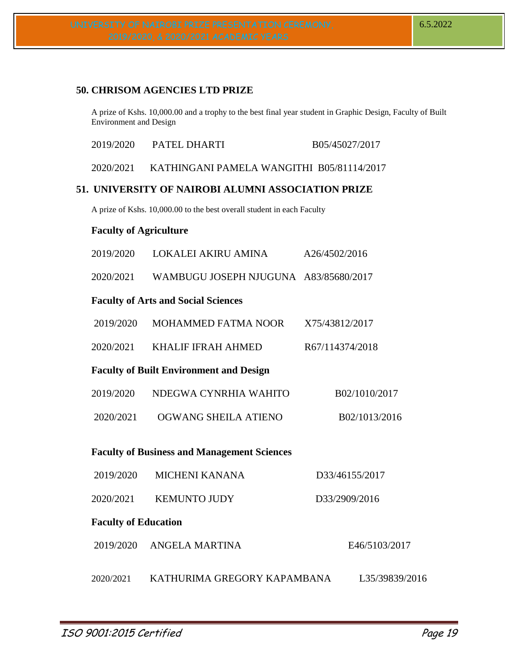# **50. CHRISOM AGENCIES LTD PRIZE**

A prize of Kshs. 10,000.00 and a trophy to the best final year student in Graphic Design, Faculty of Built Environment and Design

| 2019/2020                     | PATEL DHARTI                                                           | B05/45027/2017  |
|-------------------------------|------------------------------------------------------------------------|-----------------|
| 2020/2021                     | KATHINGANI PAMELA WANGITHI B05/81114/2017                              |                 |
|                               | 51. UNIVERSITY OF NAIROBI ALUMNI ASSOCIATION PRIZE                     |                 |
|                               | A prize of Kshs. 10,000.00 to the best overall student in each Faculty |                 |
| <b>Faculty of Agriculture</b> |                                                                        |                 |
| 2019/2020                     | LOKALEI AKIRU AMINA                                                    | A26/4502/2016   |
| 2020/2021                     | WAMBUGU JOSEPH NJUGUNA A83/85680/2017                                  |                 |
|                               | <b>Faculty of Arts and Social Sciences</b>                             |                 |
| 2019/2020                     | MOHAMMED FATMA NOOR                                                    | X75/43812/2017  |
| 2020/2021                     | <b>KHALIF IFRAH AHMED</b>                                              | R67/114374/2018 |
|                               | <b>Faculty of Built Environment and Design</b>                         |                 |
|                               |                                                                        |                 |

| 2019/2020 | NDEGWA CYNRHIA WAHITO | B02/1010/2017 |
|-----------|-----------------------|---------------|
|           |                       |               |

2020/2021 OGWANG SHEILA ATIENO B02/1013/2016

# **Faculty of Business and Management Sciences**

| 2019/2020                   | <b>MICHENI KANANA</b>       | D33/46155/2017 |
|-----------------------------|-----------------------------|----------------|
| 2020/2021                   | <b>KEMUNTO JUDY</b>         | D33/2909/2016  |
| <b>Faculty of Education</b> |                             |                |
| 2019/2020                   | ANGELA MARTINA              | E46/5103/2017  |
| 2020/2021                   | KATHURIMA GREGORY KAPAMBANA | L35/39839/2016 |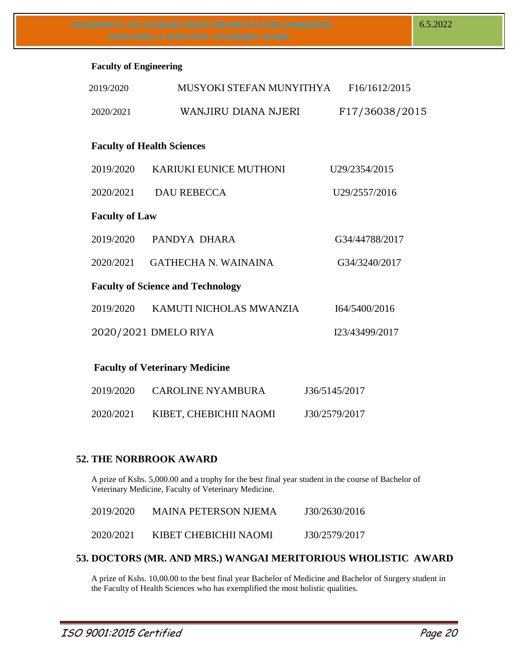#### **Faculty of Engineering**

| 2019/2020             | MUSYOKI STEFAN MUNYITHYA                 | F16/1612/2015  |
|-----------------------|------------------------------------------|----------------|
| 2020/2021             | WANJIRU DIANA NJERI                      | F17/36038/2015 |
|                       | <b>Faculty of Health Sciences</b>        |                |
| 2019/2020             | <b>KARIUKI EUNICE MUTHONI</b>            | U29/2354/2015  |
| 2020/2021             | <b>DAU REBECCA</b>                       | U29/2557/2016  |
| <b>Faculty of Law</b> |                                          |                |
| 2019/2020             | PANDYA DHARA                             | G34/44788/2017 |
| 2020/2021             | <b>GATHECHA N. WAINAINA</b>              | G34/3240/2017  |
|                       | <b>Faculty of Science and Technology</b> |                |
| 2019/2020             | KAMUTI NICHOLAS MWANZIA                  | I64/5400/2016  |
|                       | 2020/2021 DMELO RIYA                     | I23/43499/2017 |
|                       |                                          |                |

# **Faculty of Veterinary Medicine**

| 2019/2020 | <b>CAROLINE NYAMBURA</b> | J36/5145/2017 |
|-----------|--------------------------|---------------|
| 2020/2021 | KIBET, CHEBICHII NAOMI   | J30/2579/2017 |

# **52. THE NORBROOK AWARD**

A prize of Kshs. 5,000.00 and a trophy for the best final year student in the course of Bachelor of Veterinary Medicine, Faculty of Veterinary Medicine.

| 2019/2020 | <b>MAINA PETERSON NJEMA</b> | J30/2630/2016 |
|-----------|-----------------------------|---------------|
| 2020/2021 | KIBET CHEBICHII NAOMI       | J30/2579/2017 |

# **53. DOCTORS (MR. AND MRS.) WANGAI MERITORIOUS WHOLISTIC AWARD**

A prize of Kshs. 10,00.00 to the best final year Bachelor of Medicine and Bachelor of Surgery student in the Faculty of Health Sciences who has exemplified the most holistic qualities.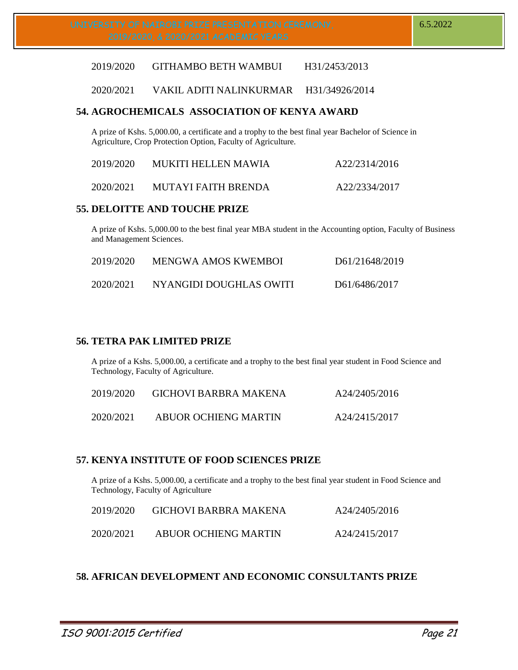2019/2020 GITHAMBO BETH WAMBUI H31/2453/2013

2020/2021 VAKIL ADITI NALINKURMAR H31/34926/2014

## **54. AGROCHEMICALS ASSOCIATION OF KENYA AWARD**

A prize of Kshs. 5,000.00, a certificate and a trophy to the best final year Bachelor of Science in Agriculture, Crop Protection Option, Faculty of Agriculture.

| 2019/2020 | <b>MUKITI HELLEN MAWIA</b> | A22/2314/2016 |
|-----------|----------------------------|---------------|
| 2020/2021 | MUTAYI FAITH BRENDA        | A22/2334/2017 |

### **55. DELOITTE AND TOUCHE PRIZE**

A prize of Kshs. 5,000.00 to the best final year MBA student in the Accounting option, Faculty of Business and Management Sciences.

| 2019/2020 | MENGWA AMOS KWEMBOI     | D61/21648/2019 |
|-----------|-------------------------|----------------|
| 2020/2021 | NYANGIDI DOUGHLAS OWITI | D61/6486/2017  |

## **56. TETRA PAK LIMITED PRIZE**

A prize of a Kshs. 5,000.00, a certificate and a trophy to the best final year student in Food Science and Technology, Faculty of Agriculture.

| 2019/2020 | <b>GICHOVI BARBRA MAKENA</b> | A24/2405/2016 |
|-----------|------------------------------|---------------|
| 2020/2021 | ABUOR OCHIENG MARTIN         | A24/2415/2017 |

#### **57. KENYA INSTITUTE OF FOOD SCIENCES PRIZE**

A prize of a Kshs. 5,000.00, a certificate and a trophy to the best final year student in Food Science and Technology, Faculty of Agriculture

| 2019/2020 | GICHOVI BARBRA MAKENA       | A24/2405/2016 |
|-----------|-----------------------------|---------------|
| 2020/2021 | <b>ABUOR OCHIENG MARTIN</b> | A24/2415/2017 |

# **58. AFRICAN DEVELOPMENT AND ECONOMIC CONSULTANTS PRIZE**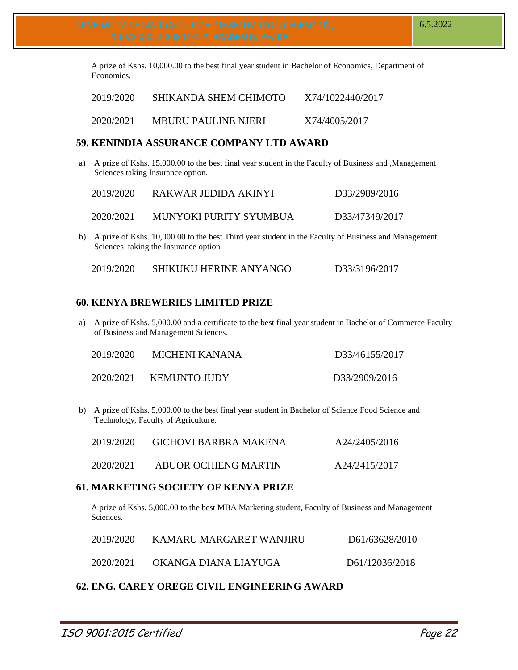A prize of Kshs. 10,000.00 to the best final year student in Bachelor of Economics, Department of Economics.

| 2019/2020 | SHIKANDA SHEM CHIMOTO      | X74/1022440/2017 |
|-----------|----------------------------|------------------|
| 2020/2021 | <b>MBURU PAULINE NJERI</b> | X74/4005/2017    |

## **59. KENINDIA ASSURANCE COMPANY LTD AWARD**

a) A prize of Kshs. 15,000.00 to the best final year student in the Faculty of Business and ,Management Sciences taking Insurance option.

| 2019/2020 | RAKWAR JEDIDA AKINYI   | D33/2989/2016  |
|-----------|------------------------|----------------|
| 2020/2021 | MUNYOKI PURITY SYUMBUA | D33/47349/2017 |

b) A prize of Kshs. 10,000.00 to the best Third year student in the Faculty of Business and Management Sciences taking the Insurance option

|  | 2019/2020 | <b>SHIKUKU HERINE ANYANGO</b> | D33/3196/2017 |
|--|-----------|-------------------------------|---------------|
|--|-----------|-------------------------------|---------------|

# **60. KENYA BREWERIES LIMITED PRIZE**

a) A prize of Kshs. 5,000.00 and a certificate to the best final year student in Bachelor of Commerce Faculty of Business and Management Sciences.

| 2019/2020 | MICHENI KANANA      | D33/46155/2017 |
|-----------|---------------------|----------------|
| 2020/2021 | <b>KEMUNTO JUDY</b> | D33/2909/2016  |

b) A prize of Kshs. 5,000.00 to the best final year student in Bachelor of Science Food Science and Technology, Faculty of Agriculture.

| 2019/2020 | <b>GICHOVI BARBRA MAKENA</b> | A24/2405/2016 |
|-----------|------------------------------|---------------|
| 2020/2021 | <b>ABUOR OCHIENG MARTIN</b>  | A24/2415/2017 |

#### **61. MARKETING SOCIETY OF KENYA PRIZE**

A prize of Kshs. 5,000.00 to the best MBA Marketing student, Faculty of Business and Management Sciences.

| 2019/2020 | KAMARU MARGARET WANJIRU | D61/63628/2010 |
|-----------|-------------------------|----------------|
| 2020/2021 | OKANGA DIANA LIAYUGA    | D61/12036/2018 |

# **62. ENG. CAREY OREGE CIVIL ENGINEERING AWARD**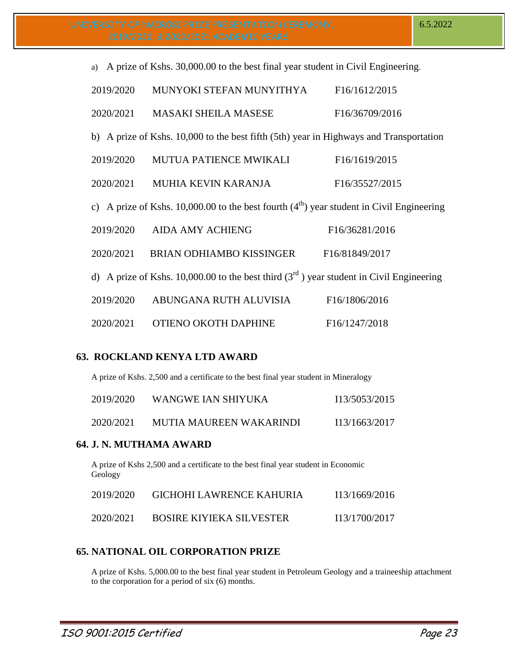| a) A prize of Kshs. 30,000.00 to the best final year student in Civil Engineering.         |                                                                                           |                                          |  |
|--------------------------------------------------------------------------------------------|-------------------------------------------------------------------------------------------|------------------------------------------|--|
| 2019/2020                                                                                  | MUNYOKI STEFAN MUNYITHYA                                                                  | F16/1612/2015                            |  |
| 2020/2021                                                                                  | <b>MASAKI SHEILA MASESE</b>                                                               | F16/36709/2016                           |  |
|                                                                                            | b) A prize of Kshs. 10,000 to the best fifth (5th) year in Highways and Transportation    |                                          |  |
| 2019/2020                                                                                  | <b>MUTUA PATIENCE MWIKALI</b>                                                             | F16/1619/2015                            |  |
| 2020/2021                                                                                  | <b>MUHIA KEVIN KARANJA</b>                                                                | F16/35527/2015                           |  |
| c) A prize of Kshs. 10,000.00 to the best fourth $(4th)$ year student in Civil Engineering |                                                                                           |                                          |  |
| 2019/2020                                                                                  | <b>AIDA AMY ACHIENG</b>                                                                   | F <sub>16</sub> /3628 <sub>1</sub> /2016 |  |
| 2020/2021                                                                                  | BRIAN ODHIAMBO KISSINGER                                                                  | F16/81849/2017                           |  |
|                                                                                            | d) A prize of Kshs. 10,000.00 to the best third $(3rd)$ year student in Civil Engineering |                                          |  |
| 2019/2020                                                                                  | ABUNGANA RUTH ALUVISIA                                                                    | F16/1806/2016                            |  |
| 2020/2021                                                                                  | OTIENO OKOTH DAPHINE                                                                      | F16/1247/2018                            |  |

# **63. ROCKLAND KENYA LTD AWARD**

A prize of Kshs. 2,500 and a certificate to the best final year student in Mineralogy

| 2019/2020 | WANGWE IAN SHIYUKA      | I13/5053/2015 |
|-----------|-------------------------|---------------|
| 2020/2021 | MUTIA MAUREEN WAKARINDI | I13/1663/2017 |

# **64. J. N. MUTHAMA AWARD**

A prize of Kshs 2,500 and a certificate to the best final year student in Economic Geology

| 2019/2020 | <b>GICHOHI LAWRENCE KAHURIA</b> | I13/1669/2016 |
|-----------|---------------------------------|---------------|
| 2020/2021 | <b>BOSIRE KIYIEKA SILVESTER</b> | I13/1700/2017 |

# **65. NATIONAL OIL CORPORATION PRIZE**

A prize of Kshs. 5,000.00 to the best final year student in Petroleum Geology and a traineeship attachment to the corporation for a period of six (6) months.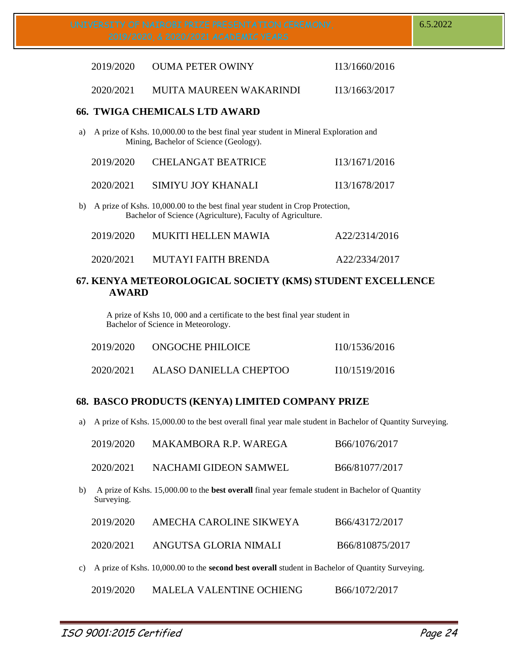|    | 2019/2020 | <b>OUMA PETER OWINY</b>                                                                                                                     | I13/1660/2016 |
|----|-----------|---------------------------------------------------------------------------------------------------------------------------------------------|---------------|
|    | 2020/2021 | MUITA MAUREEN WAKARINDI                                                                                                                     | I13/1663/2017 |
|    |           | <b>66. TWIGA CHEMICALS LTD AWARD</b>                                                                                                        |               |
| a) |           | A prize of Kshs. 10,000.00 to the best final year student in Mineral Exploration and<br>Mining, Bachelor of Science (Geology).              |               |
|    | 2019/2020 | <b>CHELANGAT BEATRICE</b>                                                                                                                   | I13/1671/2016 |
|    | 2020/2021 | SIMIYU JOY KHANALI                                                                                                                          | I13/1678/2017 |
| b) |           | A prize of Kshs. 10,000.00 to the best final year student in Crop Protection,<br>Bachelor of Science (Agriculture), Faculty of Agriculture. |               |
|    | 2019/2020 | <b>MUKITI HELLEN MAWIA</b>                                                                                                                  | A22/2314/2016 |
|    | 2020/2021 | <b>MUTAYI FAITH BRENDA</b>                                                                                                                  | A22/2334/2017 |

# **67. KENYA METEOROLOGICAL SOCIETY (KMS) STUDENT EXCELLENCE AWARD**

A prize of Kshs 10, 000 and a certificate to the best final year student in Bachelor of Science in Meteorology.

| 2019/2020 | <b>ONGOCHE PHILOICE</b> | 110/1536/2016 |
|-----------|-------------------------|---------------|
| 2020/2021 | ALASO DANIELLA CHEPTOO  | 110/1519/2016 |

# **68. BASCO PRODUCTS (KENYA) LIMITED COMPANY PRIZE**

a) A prize of Kshs. 15,000.00 to the best overall final year male student in Bachelor of Quantity Surveying.

|    | 2019/2020  | MAKAMBORA R.P. WAREGA                                                                                   | B66/1076/2017   |
|----|------------|---------------------------------------------------------------------------------------------------------|-----------------|
|    | 2020/2021  | NACHAMI GIDEON SAMWEL                                                                                   | B66/81077/2017  |
| b) | Surveying. | A prize of Kshs. 15,000.00 to the <b>best overall</b> final year female student in Bachelor of Quantity |                 |
|    | 2019/2020  | AMECHA CAROLINE SIKWEYA                                                                                 | B66/43172/2017  |
|    | 2020/2021  | ANGUTSA GLORIA NIMALI                                                                                   | B66/810875/2017 |
| c) |            | A prize of Kshs. 10,000.00 to the <b>second best overall</b> student in Bachelor of Quantity Surveying. |                 |

2019/2020 MALELA VALENTINE OCHIENG B66/1072/2017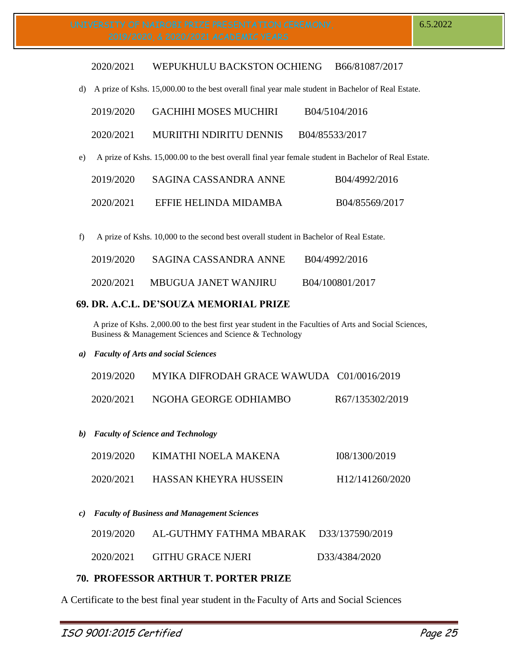#### 2020/2021 WEPUKHULU BACKSTON OCHIENG B66/81087/2017

d) A prize of Kshs. 15,000.00 to the best overall final year male student in Bachelor of Real Estate.

| 2019/2020 | GACHIHI MOSES MUCHIRI                                                                                   | B04/5104/2016  |
|-----------|---------------------------------------------------------------------------------------------------------|----------------|
| 2020/2021 | MURIITHI NDIRITU DENNIS                                                                                 | B04/85533/2017 |
|           | e) A prize of Kshs. 15,000.00 to the best overall final year female student in Bachelor of Real Estate. |                |
|           |                                                                                                         |                |

| 2019/2020 | SAGINA CASSANDRA ANNE | B04/4992/2016  |
|-----------|-----------------------|----------------|
| 2020/2021 | EFFIE HELINDA MIDAMBA | B04/85569/2017 |

f) A prize of Kshs. 10,000 to the second best overall student in Bachelor of Real Estate.

| 2019/2020 | SAGINA CASSANDRA ANNE | B04/4992/2016   |
|-----------|-----------------------|-----------------|
| 2020/2021 | MBUGUA JANET WANJIRU  | B04/100801/2017 |

## **69. DR. A.C.L. DE'SOUZA MEMORIAL PRIZE**

A prize of Kshs. 2,000.00 to the best first year student in the Faculties of Arts and Social Sciences, Business & Management Sciences and Science & Technology

*a) Faculty of Arts and social Sciences*

| 2019/2020 | MYIKA DIFRODAH GRACE WAWUDA C01/0016/2019 |                 |
|-----------|-------------------------------------------|-----------------|
| 2020/2021 | NGOHA GEORGE ODHIAMBO                     | R67/135302/2019 |

*b) Faculty of Science and Technology*

| 2019/2020 | KIMATHI NOELA MAKENA  | 108/1300/2019                |
|-----------|-----------------------|------------------------------|
| 2020/2021 | HASSAN KHEYRA HUSSEIN | H <sub>12</sub> /141260/2020 |

*c) Faculty of Business and Management Sciences*

| 2019/2020 | AL-GUTHMY FATHMA MBARAK D33/137590/2019 |               |
|-----------|-----------------------------------------|---------------|
| 2020/2021 | <b>GITHU GRACE NJERI</b>                | D33/4384/2020 |

# **70. PROFESSOR ARTHUR T. PORTER PRIZE**

A Certificate to the best final year student in the Faculty of Arts and Social Sciences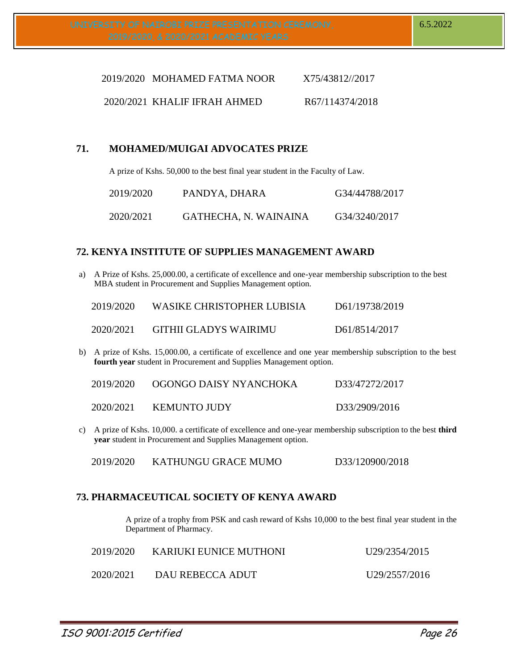| 2019/2020 MOHAMED FATMA NOOR   | X75/43812//2017 |
|--------------------------------|-----------------|
| $2020/2021$ KHALIF IFRAH AHMED | R67/114374/2018 |

# **71. MOHAMED/MUIGAI ADVOCATES PRIZE**

A prize of Kshs. 50,000 to the best final year student in the Faculty of Law.

| 2019/2020 | PANDYA, DHARA         | G34/44788/2017 |
|-----------|-----------------------|----------------|
| 2020/2021 | GATHECHA, N. WAINAINA | G34/3240/2017  |

# **72. KENYA INSTITUTE OF SUPPLIES MANAGEMENT AWARD**

a) A Prize of Kshs. 25,000.00, a certificate of excellence and one-year membership subscription to the best MBA student in Procurement and Supplies Management option.

| 2019/2020 | WASIKE CHRISTOPHER LUBISIA   | D61/19738/2019 |
|-----------|------------------------------|----------------|
| 2020/2021 | <b>GITHII GLADYS WAIRIMU</b> | D61/8514/2017  |

b) A prize of Kshs. 15,000.00, a certificate of excellence and one year membership subscription to the best **fourth year** student in Procurement and Supplies Management option.

| 2019/2020 | OGONGO DAISY NYANCHOKA | D33/47272/2017 |
|-----------|------------------------|----------------|
| 2020/2021 | <b>KEMUNTO JUDY</b>    | D33/2909/2016  |

c) A prize of Kshs. 10,000. a certificate of excellence and one-year membership subscription to the best **third year** student in Procurement and Supplies Management option.

2019/2020 KATHUNGU GRACE MUMO D33/120900/2018

# **73. PHARMACEUTICAL SOCIETY OF KENYA AWARD**

A prize of a trophy from PSK and cash reward of Kshs 10,000 to the best final year student in the Department of Pharmacy.

| 2019/2020 | KARIUKI EUNICE MUTHONI | U <sub>29</sub> /2354/2015 |
|-----------|------------------------|----------------------------|
| 2020/2021 | DAU REBECCA ADUT       | U29/2557/2016              |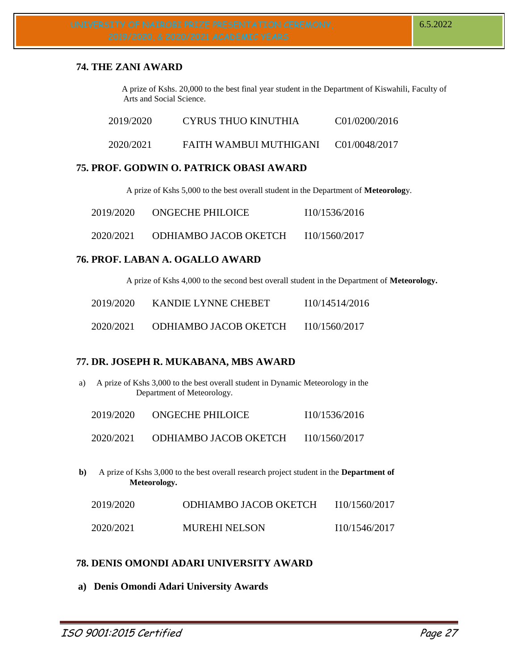# **74. THE ZANI AWARD**

A prize of Kshs. 20,000 to the best final year student in the Department of Kiswahili, Faculty of Arts and Social Science.

| 2019/2020 | CYRUS THUO KINUTHIA    | C01/0200/2016 |
|-----------|------------------------|---------------|
| 2020/2021 | FAITH WAMBUI MUTHIGANI | C01/0048/2017 |

# **75. PROF. GODWIN O. PATRICK OBASI AWARD**

A prize of Kshs 5,000 to the best overall student in the Department of **Meteorolog**y.

| 2019/2020 | <b>ONGECHE PHILOICE</b>      | 110/1536/2016 |
|-----------|------------------------------|---------------|
| 2020/2021 | <b>ODHIAMBO JACOB OKETCH</b> | I10/1560/2017 |

# **76. PROF. LABAN A. OGALLO AWARD**

A prize of Kshs 4,000 to the second best overall student in the Department of **Meteorology.**

| 2019/2020 | KANDIE LYNNE CHEBET          | 110/14514/2016 |
|-----------|------------------------------|----------------|
| 2020/2021 | <b>ODHIAMBO JACOB OKETCH</b> | I10/1560/2017  |

# **77. DR. JOSEPH R. MUKABANA, MBS AWARD**

a) A prize of Kshs 3,000 to the best overall student in Dynamic Meteorology in the Department of Meteorology.

| 2019/2020 | <b>ONGECHE PHILOICE</b> | I10/1536/2016 |
|-----------|-------------------------|---------------|
|           |                         |               |

2020/2021 ODHIAMBO JACOB OKETCH I10/1560/2017

**b)** A prize of Kshs 3,000 to the best overall research project student in the **Department of Meteorology.**

| 2019/2020 | ODHIAMBO JACOB OKETCH | I10/1560/2017 |
|-----------|-----------------------|---------------|
| 2020/2021 | <b>MUREHI NELSON</b>  | I10/1546/2017 |

# **78. DENIS OMONDI ADARI UNIVERSITY AWARD**

**a) Denis Omondi Adari University Awards**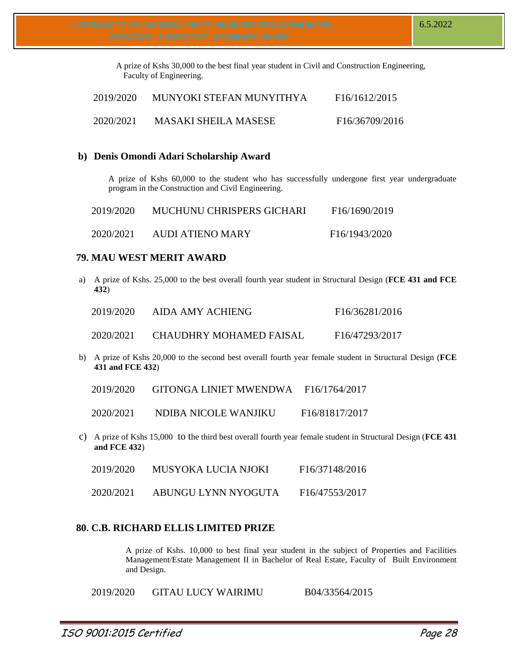A prize of Kshs 30,000 to the best final year student in Civil and Construction Engineering, Faculty of Engineering.

| 2019/2020 | MUNYOKI STEFAN MUNYITHYA    | F <sub>16</sub> /1612/2015 |
|-----------|-----------------------------|----------------------------|
| 2020/2021 | <b>MASAKI SHEILA MASESE</b> | F16/36709/2016             |

## **b) Denis Omondi Adari Scholarship Award**

A prize of Kshs 60,000 to the student who has successfully undergone first year undergraduate program in the Construction and Civil Engineering.

| 2019/2020 | MUCHUNU CHRISPERS GICHARI | F <sub>16</sub> /1690/2019 |
|-----------|---------------------------|----------------------------|
| 2020/2021 | <b>AUDI ATIENO MARY</b>   | F <sub>16</sub> /1943/2020 |

## **79. MAU WEST MERIT AWARD**

a) A prize of Kshs. 25,000 to the best overall fourth year student in Structural Design (**FCE 431 and FCE 432**)

| 2019/2020 | AIDA AMY ACHIENG        | F <sub>16</sub> /3628 <sub>1</sub> /2016 |
|-----------|-------------------------|------------------------------------------|
| 2020/2021 | CHAUDHRY MOHAMED FAISAL | F16/47293/2017                           |

b) A prize of Kshs 20,000 to the second best overall fourth year female student in Structural Design (**FCE 431 and FCE 432**)

2020/2021 NDIBA NICOLE WANJIKU F16/81817/2017

c) A prize of Kshs 15,000 to the third best overall fourth year female student in Structural Design (**FCE 431 and FCE 432**)

| 2019/2020 | <b>MUSYOKA LUCIA NJOKI</b> | F <sub>16</sub> /37148/2016 |
|-----------|----------------------------|-----------------------------|
|           |                            |                             |

2020/2021 ABUNGU LYNN NYOGUTA F16/47553/2017

# **80. C.B. RICHARD ELLIS LIMITED PRIZE**

A prize of Kshs. 10,000 to best final year student in the subject of Properties and Facilities Management/Estate Management II in Bachelor of Real Estate, Faculty of Built Environment and Design.

2019/2020 GITAU LUCY WAIRIMU B04/33564/2015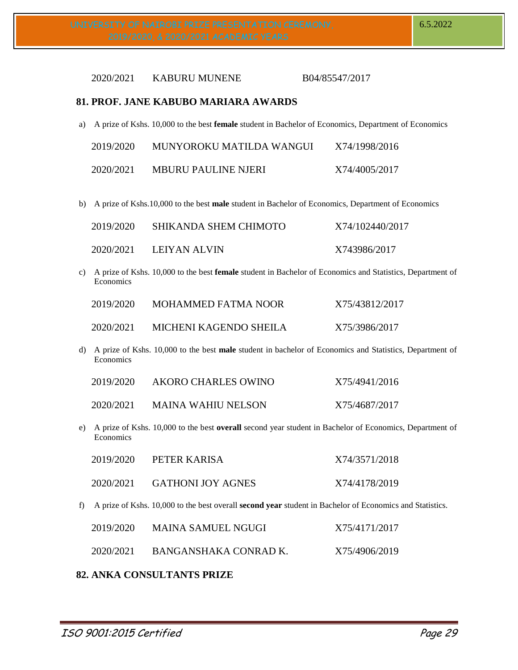#### 2020/2021 KABURU MUNENE B04/85547/2017

#### **81. PROF. JANE KABUBO MARIARA AWARDS**

a) A prize of Kshs. 10,000 to the best **female** student in Bachelor of Economics, Department of Economics

| 2019/2020 | MUNYOROKU MATILDA WANGUI   | X74/1998/2016 |
|-----------|----------------------------|---------------|
| 2020/2021 | <b>MBURU PAULINE NJERI</b> | X74/4005/2017 |

b) A prize of Kshs.10,000 to the best **male** student in Bachelor of Economics, Department of Economics

| 2019/2020 | SHIKANDA SHEM CHIMOTO | X74/102440/2017 |
|-----------|-----------------------|-----------------|
| 2020/2021 | LEIYAN ALVIN          | X743986/2017    |

c) A prize of Kshs. 10,000 to the best **female** student in Bachelor of Economics and Statistics, Department of **Economics** 

| 2019/2020 | MOHAMMED FATMA NOOR    | X75/43812/2017 |
|-----------|------------------------|----------------|
| 2020/2021 | MICHENI KAGENDO SHEILA | X75/3986/2017  |

d) A prize of Kshs. 10,000 to the best **male** student in bachelor of Economics and Statistics, Department of Economics

| 2019/2020 | AKORO CHARLES OWINO       | X75/4941/2016 |
|-----------|---------------------------|---------------|
| 2020/2021 | <b>MAINA WAHIU NELSON</b> | X75/4687/2017 |

e) A prize of Kshs. 10,000 to the best **overall** second year student in Bachelor of Economics, Department of Economics

| 2019/2020 | PETER KARISA             | X74/3571/2018 |
|-----------|--------------------------|---------------|
| 2020/2021 | <b>GATHONI JOY AGNES</b> | X74/4178/2019 |

f) A prize of Kshs. 10,000 to the best overall **second year** student in Bachelor of Economics and Statistics.

| 2019/2020 | MAINA SAMUEL NGUGI    | X75/4171/2017 |
|-----------|-----------------------|---------------|
| 2020/2021 | BANGANSHAKA CONRAD K. | X75/4906/2019 |

#### **82. ANKA CONSULTANTS PRIZE**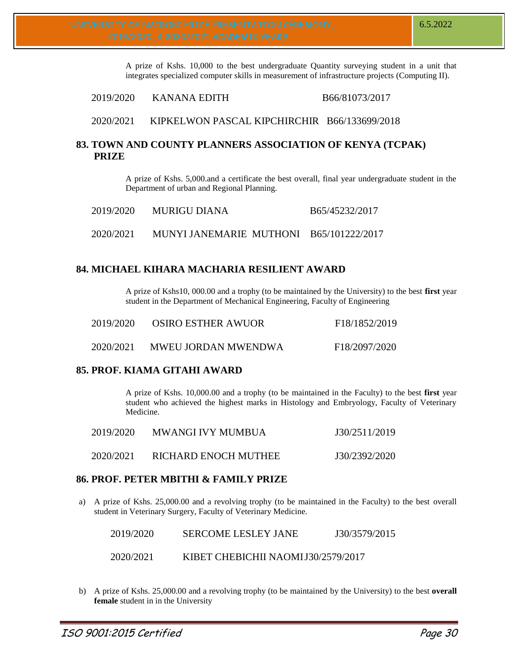A prize of Kshs. 10,000 to the best undergraduate Quantity surveying student in a unit that integrates specialized computer skills in measurement of infrastructure projects (Computing II).

## 2019/2020 KANANA EDITH B66/81073/2017

2020/2021 KIPKELWON PASCAL KIPCHIRCHIR B66/133699/2018

# **83. TOWN AND COUNTY PLANNERS ASSOCIATION OF KENYA (TCPAK) PRIZE**

A prize of Kshs. 5,000.and a certificate the best overall, final year undergraduate student in the Department of urban and Regional Planning.

| 2019/2020 | MURIGU DIANA                            | B65/45232/2017 |
|-----------|-----------------------------------------|----------------|
| 2020/2021 | MUNYI JANEMARIE MUTHONI B65/101222/2017 |                |

# **84. MICHAEL KIHARA MACHARIA RESILIENT AWARD**

A prize of Kshs10, 000.00 and a trophy (to be maintained by the University) to the best **first** year student in the Department of Mechanical Engineering, Faculty of Engineering

| 2019/2020 | <b>OSIRO ESTHER AWUOR</b>  | F <sub>18</sub> /1852/2019 |
|-----------|----------------------------|----------------------------|
| 2020/2021 | <b>MWEU JORDAN MWENDWA</b> | F18/2097/2020              |

# **85. PROF. KIAMA GITAHI AWARD**

A prize of Kshs. 10,000.00 and a trophy (to be maintained in the Faculty) to the best **first** year student who achieved the highest marks in Histology and Embryology, Faculty of Veterinary Medicine.

| 2019/2020 | <b>MWANGI IVY MUMBUA</b> | J30/2511/2019 |
|-----------|--------------------------|---------------|
| 2020/2021 | RICHARD ENOCH MUTHEE     | J30/2392/2020 |

# **86. PROF. PETER MBITHI & FAMILY PRIZE**

a) A prize of Kshs. 25,000.00 and a revolving trophy (to be maintained in the Faculty) to the best overall student in Veterinary Surgery, Faculty of Veterinary Medicine.

| 2019/2020 | <b>SERCOME LESLEY JANE</b> | J30/3579/2015 |  |
|-----------|----------------------------|---------------|--|
|           |                            |               |  |

- 2020/2021 KIBET CHEBICHII NAOMIJ30/2579/2017
- b) A prize of Kshs. 25,000.00 and a revolving trophy (to be maintained by the University) to the best **overall female** student in in the University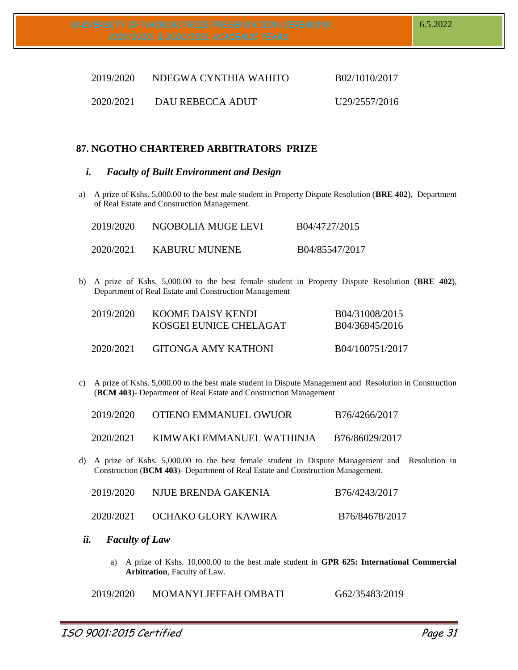| 2019/2020 | NDEGWA CYNTHIA WAHITO | B02/1010/2017 |
|-----------|-----------------------|---------------|
| 2020/2021 | DAU REBECCA ADUT      | U29/2557/2016 |

# **87. NGOTHO CHARTERED ARBITRATORS PRIZE**

#### *i. Faculty of Built Environment and Design*

a) A prize of Kshs. 5,000.00 to the best male student in Property Dispute Resolution (**BRE 402**), Department of Real Estate and Construction Management.

| 2019/2020 | NGOBOLIA MUGE LEVI | B04/4727/2015  |
|-----------|--------------------|----------------|
| 2020/2021 | KABURU MUNENE      | B04/85547/2017 |

b) A prize of Kshs. 5,000.00 to the best female student in Property Dispute Resolution (**BRE 402**), Department of Real Estate and Construction Management

| 2019/2020 | KOOME DAISY KENDI<br>KOSGEI EUNICE CHELAGAT | B04/31008/2015<br>B04/36945/2016 |
|-----------|---------------------------------------------|----------------------------------|
| 2020/2021 | GITONGA AMY KATHONI                         | B04/100751/2017                  |

c) A prize of Kshs. 5,000.00 to the best male student in Dispute Management and Resolution in Construction (**BCM 403**)- Department of Real Estate and Construction Management

| 2019/2020 | OTIENO EMMANUEL OWUOR | B76/4266/2017 |
|-----------|-----------------------|---------------|
|           |                       |               |

- 2020/2021 KIMWAKI EMMANUEL WATHINJA B76/86029/2017
- d) A prize of Kshs. 5,000.00 to the best female student in Dispute Management and Resolution in Construction (**BCM 403**)- Department of Real Estate and Construction Management.

| 2019/2020 | NJUE BRENDA GAKENIA | B76/4243/2017  |
|-----------|---------------------|----------------|
| 2020/2021 | OCHAKO GLORY KAWIRA | B76/84678/2017 |

- *ii. Faculty of Law*
	- a) A prize of Kshs. 10,000.00 to the best male student in **GPR 625: International Commercial Arbitration**, Faculty of Law.

2019/2020 MOMANYI JEFFAH OMBATI G62/35483/2019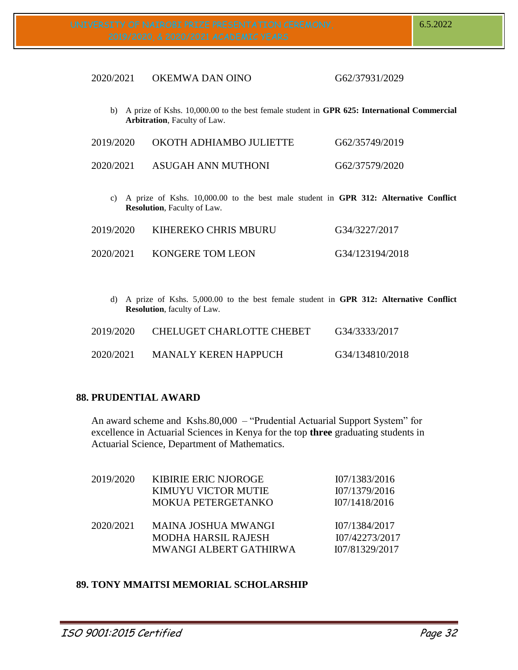### 2020/2021 OKEMWA DAN OINO G62/37931/2029

b) A prize of Kshs. 10,000.00 to the best female student in **GPR 625: International Commercial Arbitration**, Faculty of Law.

| 2019/2020 | OKOTH ADHIAMBO JULIETTE | G62/35749/2019 |
|-----------|-------------------------|----------------|
| 2020/2021 | ASUGAH ANN MUTHONI      | G62/37579/2020 |

c) A prize of Kshs. 10,000.00 to the best male student in **GPR 312: Alternative Conflict Resolution**, Faculty of Law.

| 2019/2020 | KIHEREKO CHRIS MBURU | G34/3227/2017   |
|-----------|----------------------|-----------------|
| 2020/2021 | KONGERE TOM LEON     | G34/123194/2018 |

d) A prize of Kshs. 5,000.00 to the best female student in **GPR 312: Alternative Conflict Resolution**, faculty of Law.

| 2019/2020 | CHELUGET CHARLOTTE CHEBET | G34/3333/2017   |
|-----------|---------------------------|-----------------|
| 2020/2021 | MANALY KEREN HAPPUCH      | G34/134810/2018 |

## **88. PRUDENTIAL AWARD**

An award scheme and Kshs.80,000 – "Prudential Actuarial Support System" for excellence in Actuarial Sciences in Kenya for the top **three** graduating students in Actuarial Science, Department of Mathematics.

| 2019/2020 | <b>KIBIRIE ERIC NJOROGE</b><br>KIMUYU VICTOR MUTIE          | 107/1383/2016<br>I07/1379/2016   |
|-----------|-------------------------------------------------------------|----------------------------------|
| 2020/2021 | <b>MOKUA PETERGETANKO</b><br><b>MAINA JOSHUA MWANGI</b>     | 107/1418/2016<br>I07/1384/2017   |
|           | <b>MODHA HARSIL RAJESH</b><br><b>MWANGI ALBERT GATHIRWA</b> | I07/42273/2017<br>107/81329/2017 |

# **89. TONY MMAITSI MEMORIAL SCHOLARSHIP**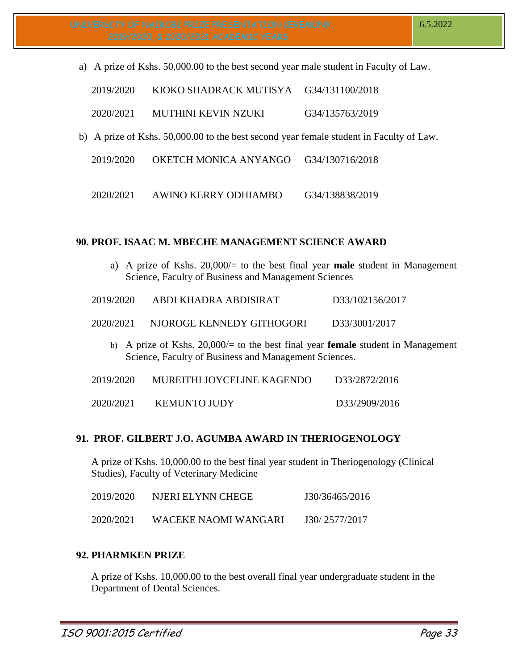a) A prize of Kshs. 50,000.00 to the best second year male student in Faculty of Law.

| 2019/2020 | KIOKO SHADRACK MUTISYA | G34/131100/2018 |
|-----------|------------------------|-----------------|
|           |                        |                 |

- 2020/2021 MUTHINI KEVIN NZUKI G34/135763/2019
- b) A prize of Kshs. 50,000.00 to the best second year female student in Faculty of Law.
	- 2019/2020 OKETCH MONICA ANYANGO G34/130716/2018
	- 2020/2021 AWINO KERRY ODHIAMBO G34/138838/2019

## **90. PROF. ISAAC M. MBECHE MANAGEMENT SCIENCE AWARD**

a) A prize of Kshs. 20,000/= to the best final year **male** student in Management Science, Faculty of Business and Management Sciences

| 2019/2020 | ABDI KHADRA ABDISIRAT | D33/102156/2017 |
|-----------|-----------------------|-----------------|
|           |                       |                 |

2020/2021 NJOROGE KENNEDY GITHOGORI D33/3001/2017

b) A prize of Kshs. 20,000/= to the best final year **female** student in Management Science, Faculty of Business and Management Sciences.

| 2019/2020 | MUREITHI JOYCELINE KAGENDO | D33/2872/2016 |
|-----------|----------------------------|---------------|
|           |                            |               |

| 2020/2021 | <b>KEMUNTO JUDY</b> | D33/2909/2016 |
|-----------|---------------------|---------------|
|           |                     |               |

# **91. PROF. GILBERT J.O. AGUMBA AWARD IN THERIOGENOLOGY**

A prize of Kshs. 10,000.00 to the best final year student in Theriogenology (Clinical Studies), Faculty of Veterinary Medicine

| 2019/2020 | NJERI ELYNN CHEGE    | J30/36465/2016 |
|-----------|----------------------|----------------|
| 2020/2021 | WACEKE NAOMI WANGARI | J30/2577/2017  |

# **92. PHARMKEN PRIZE**

A prize of Kshs. 10,000.00 to the best overall final year undergraduate student in the Department of Dental Sciences.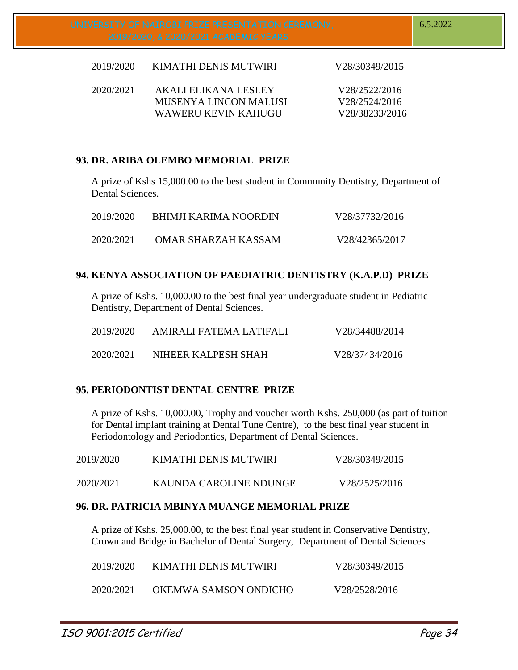| 2019/2020 | KIMATHI DENIS MUTWIRI                                | V28/30349/2015                 |
|-----------|------------------------------------------------------|--------------------------------|
| 2020/2021 | AKALI ELIKANA LESLEY<br><b>MUSENYA LINCON MALUSI</b> | V28/2522/2016<br>V28/2524/2016 |
|           | WAWERU KEVIN KAHUGU                                  | V28/38233/2016                 |

# **93. DR. ARIBA OLEMBO MEMORIAL PRIZE**

A prize of Kshs 15,000.00 to the best student in Community Dentistry, Department of Dental Sciences.

| 2019/2020 | <b>BHIMJI KARIMA NOORDIN</b> | V28/37732/2016 |
|-----------|------------------------------|----------------|
| 2020/2021 | OMAR SHARZAH KASSAM          | V28/42365/2017 |

# **94. KENYA ASSOCIATION OF PAEDIATRIC DENTISTRY (K.A.P.D) PRIZE**

A prize of Kshs. 10,000.00 to the best final year undergraduate student in Pediatric Dentistry, Department of Dental Sciences.

| 2019/2020 | AMIRALI FATEMA LATIFALI | V28/34488/2014 |
|-----------|-------------------------|----------------|
| 2020/2021 | NIHEER KALPESH SHAH     | V28/37434/2016 |

# **95. PERIODONTIST DENTAL CENTRE PRIZE**

A prize of Kshs. 10,000.00, Trophy and voucher worth Kshs. 250,000 (as part of tuition for Dental implant training at Dental Tune Centre), to the best final year student in Periodontology and Periodontics, Department of Dental Sciences.

| 2019/2020 | KIMATHI DENIS MUTWIRI  | V28/30349/2015 |
|-----------|------------------------|----------------|
| 2020/2021 | KAUNDA CAROLINE NDUNGE | V28/2525/2016  |

# **96. DR. PATRICIA MBINYA MUANGE MEMORIAL PRIZE**

A prize of Kshs. 25,000.00, to the best final year student in Conservative Dentistry, Crown and Bridge in Bachelor of Dental Surgery, Department of Dental Sciences

| 2019/2020 | KIMATHI DENIS MUTWIRI | V28/30349/2015 |
|-----------|-----------------------|----------------|
| 2020/2021 | OKEMWA SAMSON ONDICHO | V28/2528/2016  |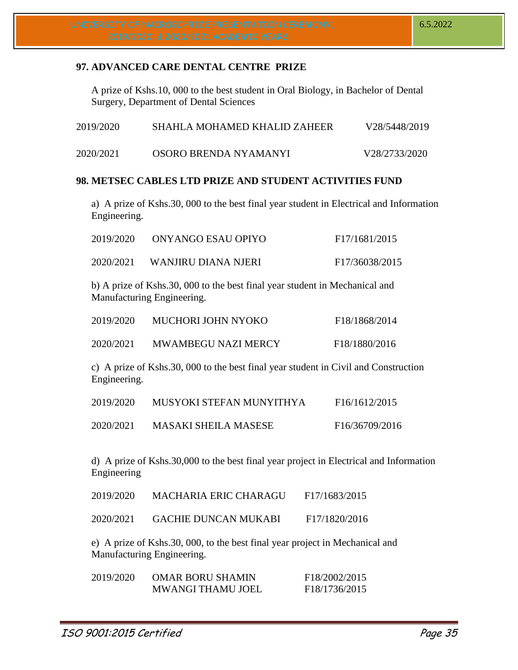# **97. ADVANCED CARE DENTAL CENTRE PRIZE**

A prize of Kshs.10, 000 to the best student in Oral Biology, in Bachelor of Dental Surgery, Department of Dental Sciences

| 2019/2020 | SHAHLA MOHAMED KHALID ZAHEER | V28/5448/2019 |
|-----------|------------------------------|---------------|
| 2020/2021 | OSORO BRENDA NYAMANYI        | V28/2733/2020 |

# **98. METSEC CABLES LTD PRIZE AND STUDENT ACTIVITIES FUND**

a) A prize of Kshs.30, 000 to the best final year student in Electrical and Information Engineering.

| 2019/2020 | ONYANGO ESAU OPIYO  | F <sub>17</sub> /1681/2015 |
|-----------|---------------------|----------------------------|
| 2020/2021 | WANJIRU DIANA NJERI | F17/36038/2015             |

b) A prize of Kshs.30, 000 to the best final year student in Mechanical and Manufacturing Engineering.

| 2019/2020 | MUCHORI JOHN NYOKO         | F18/1868/2014 |
|-----------|----------------------------|---------------|
| 2020/2021 | <b>MWAMBEGU NAZI MERCY</b> | F18/1880/2016 |

c) A prize of Kshs.30, 000 to the best final year student in Civil and Construction Engineering.

| 2019/2020 | MUSYOKI STEFAN MUNYITHYA    | F <sub>16</sub> /1612/2015 |
|-----------|-----------------------------|----------------------------|
| 2020/2021 | <b>MASAKI SHEILA MASESE</b> | F16/36709/2016             |

d) A prize of Kshs.30,000 to the best final year project in Electrical and Information Engineering

| 2019/2020 | MACHARIA ERIC CHARAGU       | F17/1683/2015 |
|-----------|-----------------------------|---------------|
| 2020/2021 | <b>GACHIE DUNCAN MUKABI</b> | F17/1820/2016 |

e) A prize of Kshs.30, 000, to the best final year project in Mechanical and Manufacturing Engineering.

| 2019/2020 | <b>OMAR BORU SHAMIN</b>  | F18/2002/2015              |
|-----------|--------------------------|----------------------------|
|           | <b>MWANGI THAMU JOEL</b> | F <sub>18</sub> /1736/2015 |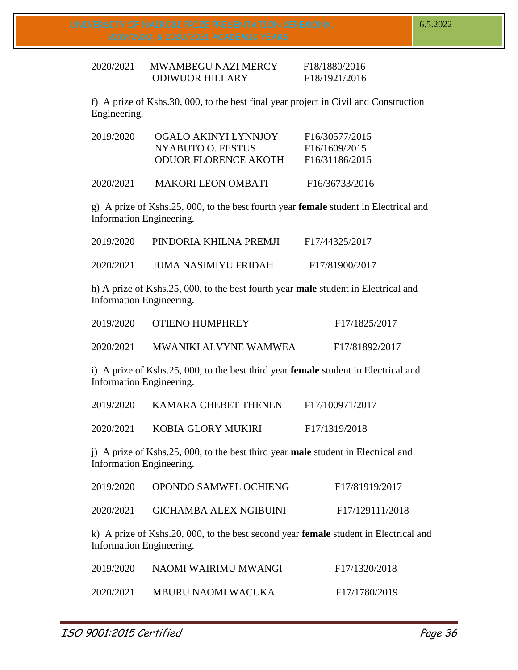2020/2021 MWAMBEGU NAZI MERCY F18/1880/2016 ODIWUOR HILLARY F18/1921/2016

f) A prize of Kshs.30, 000, to the best final year project in Civil and Construction Engineering.

| 2019/2020 | OGALO AKINYI LYNNJOY        | F <sub>16</sub> /30577/2015 |
|-----------|-----------------------------|-----------------------------|
|           | NYABUTO O. FESTUS           | F <sub>16</sub> /1609/2015  |
|           | <b>ODUOR FLORENCE AKOTH</b> | F <sub>16</sub> /31186/2015 |
|           |                             |                             |

2020/2021 MAKORI LEON OMBATI F16/36733/2016

g) A prize of Kshs.25, 000, to the best fourth year **female** student in Electrical and Information Engineering.

| 2019/2020 | PINDORIA KHILNA PREMJI | F17/44325/2017 |
|-----------|------------------------|----------------|
| 2020/2021 | JUMA NASIMIYU FRIDAH   | F17/81900/2017 |

h) A prize of Kshs.25, 000, to the best fourth year **male** student in Electrical and Information Engineering.

| 2019/2020 | OTIENO HUMPHREY       | F17/1825/2017  |
|-----------|-----------------------|----------------|
| 2020/2021 | MWANIKI ALVYNE WAMWEA | F17/81892/2017 |

i) A prize of Kshs.25, 000, to the best third year **female** student in Electrical and Information Engineering.

| 2019/2020 | KAMARA CHEBET THENEN | F17/100971/2017 |
|-----------|----------------------|-----------------|
| 2020/2021 | KOBIA GLORY MUKIRI   | F17/1319/2018   |

j) A prize of Kshs.25, 000, to the best third year **male** student in Electrical and Information Engineering.

| 2019/2020                | OPONDO SAMWEL OCHIENG                                                                       | F17/81919/2017  |
|--------------------------|---------------------------------------------------------------------------------------------|-----------------|
| 2020/2021                | <b>GICHAMBA ALEX NGIBUINI</b>                                                               | F17/129111/2018 |
| Information Engineering. | k) A prize of Kshs.20, 000, to the best second year <b>female</b> student in Electrical and |                 |
| 2019/2020                | NAOMI WAIRIMU MWANGI                                                                        | F17/1320/2018   |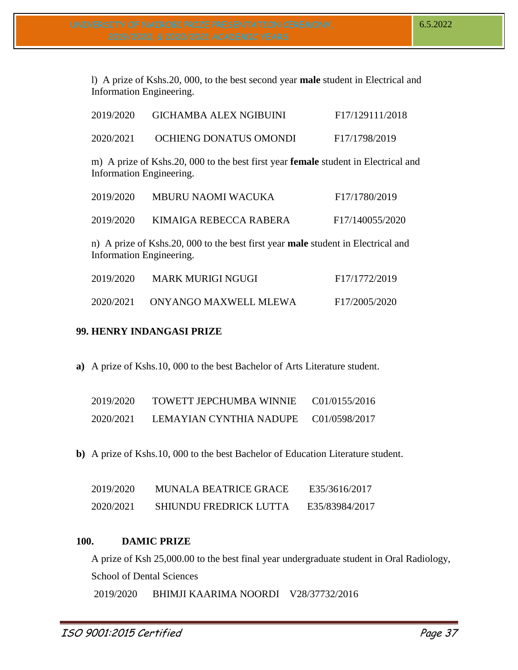l) A prize of Kshs.20, 000, to the best second year **male** student in Electrical and Information Engineering.

| 2019/2020                                                                               | <b>GICHAMBA ALEX NGIBUINI</b>                                                             | F17/129111/2018 |
|-----------------------------------------------------------------------------------------|-------------------------------------------------------------------------------------------|-----------------|
| 2020/2021                                                                               | OCHIENG DONATUS OMONDI                                                                    | F17/1798/2019   |
| <b>Information Engineering.</b>                                                         | m) A prize of Kshs.20, 000 to the best first year <b>female</b> student in Electrical and |                 |
| 2019/2020                                                                               | MBURU NAOMI WACUKA                                                                        | F17/1780/2019   |
| 2019/2020                                                                               | KIMAIGA REBECCA RABERA                                                                    | F17/140055/2020 |
| n) A prize of Kshs.20, 000 to the best first year <b>male</b> student in Electrical and |                                                                                           |                 |

Information Engineering.

| 2019/2020 | MARK MURIGI NGUGI     | F <sub>17</sub> /1772/2019 |
|-----------|-----------------------|----------------------------|
| 2020/2021 | ONYANGO MAXWELL MLEWA | F17/2005/2020              |

# **99. HENRY INDANGASI PRIZE**

**a)** A prize of Kshs.10, 000 to the best Bachelor of Arts Literature student.

| 2019/2020 | TOWETT JEPCHUMBA WINNIE | C01/0155/2016 |
|-----------|-------------------------|---------------|
| 2020/2021 | LEMAYIAN CYNTHIA NADUPE | C01/0598/2017 |

**b)** A prize of Kshs.10, 000 to the best Bachelor of Education Literature student.

| 2019/2020 | <b>MUNALA BEATRICE GRACE</b>  | E35/3616/2017  |
|-----------|-------------------------------|----------------|
| 2020/2021 | <b>SHIUNDU FREDRICK LUTTA</b> | E35/83984/2017 |

# **100. DAMIC PRIZE**

A prize of Ksh 25,000.00 to the best final year undergraduate student in Oral Radiology, School of Dental Sciences 2019/2020 BHIMJI KAARIMA NOORDI V28/37732/2016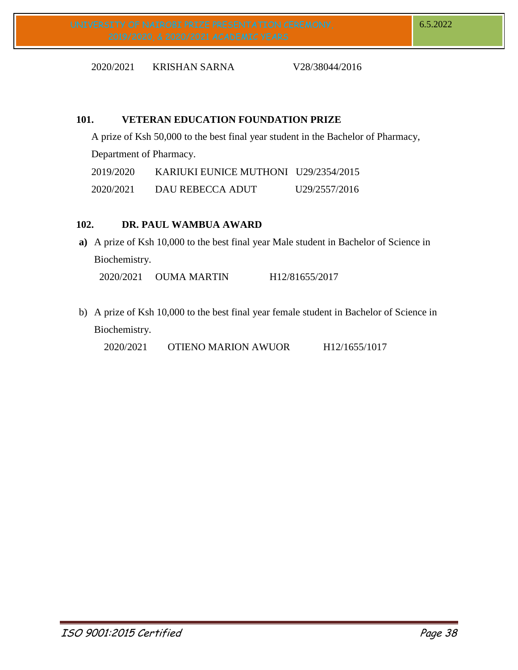2020/2021 KRISHAN SARNA V28/38044/2016

# **101. VETERAN EDUCATION FOUNDATION PRIZE**

A prize of Ksh 50,000 to the best final year student in the Bachelor of Pharmacy, Department of Pharmacy. 2019/2020 KARIUKI EUNICE MUTHONI U29/2354/2015 2020/2021 DAU REBECCA ADUT U29/2557/2016

# **102. DR. PAUL WAMBUA AWARD**

**a)** A prize of Ksh 10,000 to the best final year Male student in Bachelor of Science in Biochemistry.

2020/2021 OUMA MARTIN H12/81655/2017

b) A prize of Ksh 10,000 to the best final year female student in Bachelor of Science in Biochemistry.

2020/2021 OTIENO MARION AWUOR H12/1655/1017